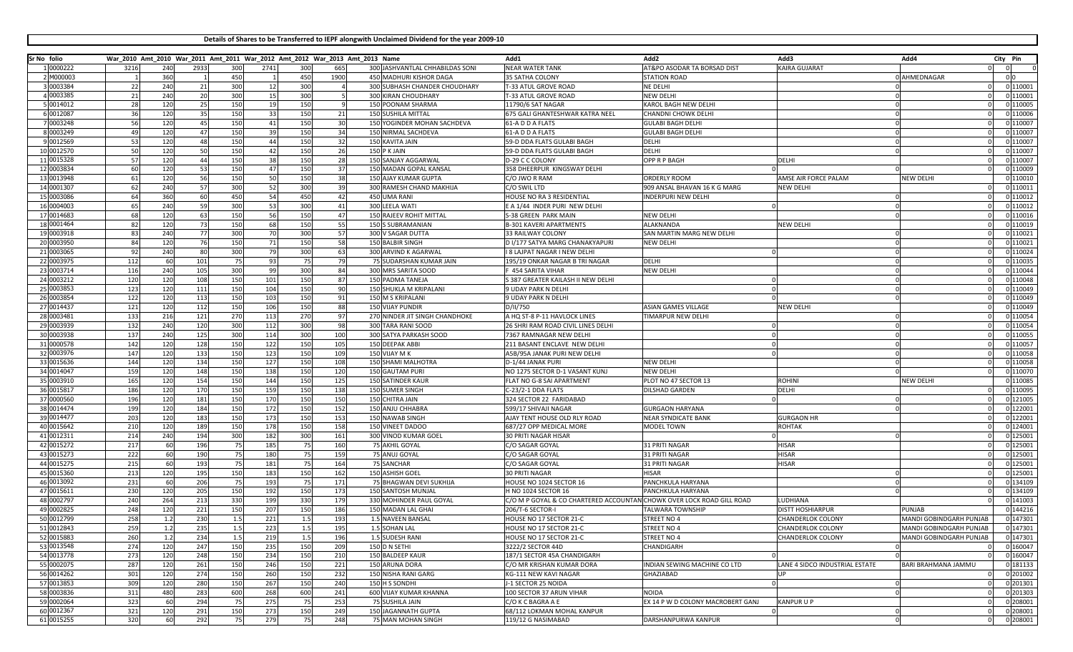**Details of Shares to be Transferred to IEPF alongwith Unclaimed Dividend for the year 2009-10**

| Sr No folio |            |      |     | War_2010 Amt_2010 War_2011 Amt_2011 War_2012 Amt_2012 War_2013 Amt_2013 Name |      |      |     |      |       |                                 | Add1                                                                  | Add2                              | Add3                           | Add4                    | City Pin |                 |
|-------------|------------|------|-----|------------------------------------------------------------------------------|------|------|-----|------|-------|---------------------------------|-----------------------------------------------------------------------|-----------------------------------|--------------------------------|-------------------------|----------|-----------------|
|             | 1 0000222  | 3216 | 240 | 2933                                                                         | 300  | 2741 | 300 | 665  |       | 300 JASHVANTLAL CHHABILDAS SONI | <b>NEAR WATER TANK</b>                                                | AT&PO ASODAR TA BORSAD DIST       | <b>KAIRA GUJARAT</b>           |                         |          |                 |
|             | 2 M000003  |      | 360 |                                                                              | 450  |      | 450 | 1900 |       | 450 MADHURI KISHOR DAGA         | 35 SATHA COLONY                                                       | <b>STATION ROAD</b>               |                                | 0 AHMEDNAGAR            |          | 0 <sup>10</sup> |
|             | 0003384    | 22   | 240 | 21                                                                           | 300  | 12   | 300 |      |       | 300 SUBHASH CHANDER CHOUDHARY   | T-33 ATUL GROVE ROAD                                                  | NE DELHI                          |                                |                         |          | 0 110001        |
|             | 4 0003385  | 21   | 240 | 20                                                                           | 300  | 15   | 300 |      |       | 300 KIRAN CHOUDHARY             | -33 ATUL GROVE ROAD                                                   | <b>NEW DELH</b>                   |                                |                         |          | 0 110001        |
|             | 5 0014012  | 28   | 120 | 25                                                                           | 150  | 19   | 150 |      |       | 150 POONAM SHARMA               | 11790/6 SAT NAGAR                                                     | KAROL BAGH NEW DELHI              |                                |                         |          | 0 110005        |
|             | 6 0012087  | 36   | 120 | 35                                                                           | 150  | 33   | 150 | 21   |       | <b>150 SUSHILA MITTAL</b>       | 675 GALI GHANTESHWAR KATRA NEEL                                       | CHANDNI CHOWK DELHI               |                                |                         |          | 0 110006        |
|             | 7 0003248  | 56   | 120 | 45                                                                           | 150  | 41   | 150 | 30   |       | 150 YOGINDER MOHAN SACHDEVA     | 61-A D D A FLATS                                                      | <b>GULABI BAGH DELHI</b>          |                                |                         |          | 0 110007        |
|             | 8 0003249  |      | 120 | 47                                                                           | 150  | 39   | 150 | 34   |       | 150 NIRMAL SACHDEVA             | 61-A D D A FLATS                                                      | <b>GULABI BAGH DELHI</b>          |                                |                         |          | 0 110007        |
|             | 9 0012569  |      | 120 |                                                                              | 150  | 44   | 150 | 32   |       | 150 KAVITA JAIN                 | 59-D DDA FLATS GULABI BAGH                                            | DELHI                             |                                |                         |          | 0 110007        |
|             | 10 0012570 | 50   | 120 | 50                                                                           | 150  | 42   | 150 | 26   | 150   | K JAIN                          | 59-D DDA FLATS GULABI BAGH                                            | DELHI                             |                                |                         |          | 0 110007        |
|             | 11 0015328 | 57   | 120 | 44                                                                           | 150  | 38   | 150 | 28   |       | 150 SANJAY AGGARWAL             | D-29 C C COLONY                                                       | OPP R P BAGH                      | DELHI                          |                         |          | 0 110007        |
|             |            | 60   |     |                                                                              |      |      |     |      |       |                                 |                                                                       |                                   |                                |                         |          | 0 110009        |
|             | 12 0003834 |      | 120 | 53                                                                           | 150  | 47   | 150 | 37   |       | 150 MADAN GOPAL KANSAL          | 358 DHEERPUR KINGSWAY DELHI                                           |                                   |                                |                         |          |                 |
|             | 13 0013948 | 61   | 120 | 56                                                                           | 150  | 50   | 150 | 38   |       | 150 AJAY KUMAR GUPTA            | C/O JWO R RAM                                                         | ORDERLY ROOM                      | AMSE AIR FORCE PALAM           | <b>NEW DELHI</b>        |          | 0 110010        |
|             | 14 0001307 | -62  | 240 | 57                                                                           | 300  | 52   | 300 | 39   |       | 300 RAMESH CHAND MAKHIJA        | C/O SWIL LTD                                                          | 909 ANSAL BHAVAN 16 K G MARG      | <b>NEW DELHI</b>               |                         |          | 0 110011        |
|             | 15 0003086 | 64   | 360 | 60                                                                           | 450  | 54   | 450 | 42   |       | 450 UMA RANI                    | HOUSE NO RA 3 RESIDENTIAL                                             | INDERPURI NEW DELHI               |                                |                         |          | 0 110012        |
|             | 16 0004003 |      | 240 |                                                                              | 300  | 53   | 300 | 41   | 300   | EELA WATI                       | E A 1/44 INDER PURI NEW DELHI                                         |                                   |                                |                         |          | 0 110012        |
|             | 17 0014683 |      | 120 | 63                                                                           | 150  | 56   | 150 | 47   |       | 150 RAJEEV ROHIT MITTAL         | <b>S-38 GREEN PARK MAIN</b>                                           | <b>NEW DELH</b>                   |                                |                         |          | 0 110016        |
|             | 18 0001464 |      | 120 |                                                                              | 150  | 68   | 150 | 55   | 150 S | S SUBRAMANIAN                   | <b>B-301 KAVERI APARTMENTS</b>                                        | ALAKNANDA                         | NEW DELHI                      |                         |          | 0 110019        |
|             | 19 0003918 | 83   | 240 | 77                                                                           | 300  | 70   | 300 | 57   |       | 300 V SAGAR DUTTA               | 33 RAILWAY COLONY                                                     | SAN MARTIN MARG NEW DELHI         |                                |                         |          | 0 110021        |
|             | 20 0003950 | 84   | 120 | - 76                                                                         | 150  | 71   | 150 | 58   |       | 150 BALBIR SINGH                | D I/177 SATYA MARG CHANAKYAPURI                                       | <b>NEW DELHI</b>                  |                                |                         |          | 0 110021        |
|             | 21 0003065 | 92   | 240 | 80                                                                           | 300  | 79   | 300 | 63   |       | 300 ARVIND K AGARWAL            | I 8 LAJPAT NAGAR I NEW DELH                                           |                                   |                                |                         |          | 0 110024        |
|             | 22 0003975 | 112  | 60  | 101                                                                          | 75   | 93   | 75  | 79   |       | 75 SUDARSHAN KUMAR JAIN         | 195/19 ONKAR NAGAR B TRI NAGAR                                        | DELHI                             |                                |                         |          | 0 110035        |
|             | 23 0003714 | 116  | 240 | 105                                                                          | 300  | 99   | 300 | 84   |       | 300 MRS SARITA SOOD             | <b>454 SARITA VIHAR</b>                                               | <b>NEW DELHI</b>                  |                                |                         |          | 0 110044        |
|             | 24 0003212 | 120  | 120 | 108                                                                          | 150  | 101  | 150 | 87   |       | 150 PADMA TANEJA                | S 387 GREATER KAILASH II NEW DELHI                                    |                                   |                                |                         |          | 0 110048        |
|             | 25 0003853 | 123  | 120 | 111                                                                          | 150  | 104  | 150 | 90   |       | 150 SHUKLA M KRIPALANI          | 9 UDAY PARK N DELHI                                                   |                                   |                                |                         |          | 0 110049        |
|             | 26 0003854 | 122  | 120 | 113                                                                          | 150  | 103  | 150 | 91   |       | 150 M S KRIPALANI               | 9 UDAY PARK N DELHI                                                   |                                   |                                |                         |          | 0 110049        |
|             | 27 0014437 | 121  | 120 | 112                                                                          | 150  | 106  | 150 | 88   |       | <b>150 VIJAY PUNDIR</b>         | D/II/750                                                              | <b>ASIAN GAMES VILLAGE</b>        | <b>NEW DELHI</b>               |                         |          | 0 110049        |
|             | 28 0003481 | 133  | 216 | 121                                                                          | 270  | 113  | 270 | 97   |       | 270 NINDER JIT SINGH CHANDHOKE  | A HQ ST-8 P-11 HAVLOCK LINES                                          | TIMARPUR NEW DELHI                |                                |                         |          | 0 110054        |
|             | 29 0003939 | 132  | 240 | 120                                                                          | 300  | 112  | 300 | 98   |       | 300 TARA RANI SOOD              | 26 SHRI RAM ROAD CIVIL LINES DELHI                                    |                                   |                                |                         |          | 0 110054        |
|             | 30 0003938 | 137  | 240 | 125                                                                          | 300  | 114  | 300 | 100  |       | 300 SATYA PARKASH SOOD          | 7367 RAMNAGAR NEW DELHI                                               |                                   |                                |                         |          | 0 110055        |
|             | 31 0000578 | 142  | 120 |                                                                              |      |      |     |      |       |                                 | 211 BASANT ENCLAVE NEW DELHI                                          |                                   |                                |                         |          | 0 110057        |
|             |            |      |     | 128                                                                          | 150  | 122  | 150 | 105  |       | 150 DEEPAK ABBI                 |                                                                       |                                   |                                |                         |          |                 |
|             | 32 0003976 | 147  | 120 | 133                                                                          | 150  | 123  | 150 | 109  |       | 150 VIJAY M K                   | A5B/95A JANAK PURI NEW DELHI                                          |                                   |                                |                         |          | 0 110058        |
|             | 33 0015636 | 144  | 120 | 134                                                                          | 150  | 127  | 150 | 108  |       | 150 SHAMI MALHOTRA              | D-1/44 JANAK PURI                                                     | NEW DELHI                         |                                |                         |          | 0 110058        |
|             | 34 0014047 | 159  | 120 | 148                                                                          | 150  | 138  | 150 | 120  |       | 150 GAUTAM PURI                 | NO 1275 SECTOR D-1 VASANT KUNJ                                        | <b>NEW DELHI</b>                  |                                |                         |          | 0 110070        |
|             | 35 0003910 | 165  | 120 | 154                                                                          | 150  | 144  | 150 | 125  |       | 150 SATINDER KAUI               | FLAT NO G-8 SAI APARTMENT                                             | PLOT NO 47 SECTOR 13              | ROHINI                         | New Delhi               |          | 0 110085        |
|             | 36 0015817 | 186  | 120 | 170                                                                          | 150  | 159  | 150 | 138  |       | 150 SUMER SINGH                 | C-23/2-1 DDA FLATS                                                    | DILSHAD GARDEN                    | DELHI                          |                         |          | 0 110095        |
|             | 37 0000560 | 196  | 120 | 181                                                                          | 150  | 170  | 150 | 150  |       | 150 CHITRA JAIN                 | 324 SECTOR 22 FARIDABAD                                               |                                   |                                |                         |          | 0 121005        |
|             | 38 0014474 | 199  | 120 | 184                                                                          | 150  | 172  | 150 | 152  |       | 150 ANJU CHHABRA                | 599/17 SHIVAJI NAGAR                                                  | <b>GURGAON HARYANA</b>            |                                |                         |          | 0 122001        |
|             | 39 0014477 | 203  | 120 | 183                                                                          | 150  | 173  | 150 | 153  |       | 150 NAWAB SINGH                 | AJAY TENT HOUSE OLD RLY ROAD                                          | <b>NEAR SYNDICATE BANK</b>        | <b>GURGAON HR</b>              |                         |          | 0 122001        |
|             | 40 0015642 | 210  | 120 | 189                                                                          | 150  | 178  | 150 | 158  |       | 150 VINEET DADOO                | 687/27 OPP MEDICAL MORE                                               | MODEL TOWN                        | ROHTAK                         |                         |          | 0 124001        |
|             | 41 0012311 | 214  | 240 | 194                                                                          | 300  | 182  | 300 | 161  |       | 300 VINOD KUMAR GOEL            | 30 PRITI NAGAR HISAR                                                  |                                   |                                |                         |          | 0 125001        |
|             | 42 0015272 | 217  | 60  | 196                                                                          | 75   | 185  | 75  | 160  |       | 75 AKHIL GOYAL                  | C/O SAGAR GOYAL                                                       | 31 PRITI NAGAR                    | HISAR                          |                         |          | 0 125001        |
|             | 43 0015273 | 222  | 60  | 190                                                                          | 75   | 180  | 75  | 159  |       | 75 ANUJ GOYAL                   | C/O SAGAR GOYAL                                                       | 31 PRITI NAGAR                    | <b>HISAR</b>                   |                         |          | 0 125001        |
|             | 44 0015275 | 215  | 60  | 193                                                                          | 75   | 181  | 75  | 164  |       | 75 SANCHAR                      | C/O SAGAR GOYAL                                                       | 31 PRITI NAGAR                    | <b>HISAR</b>                   |                         |          | 0 125001        |
|             | 45 0015360 | 213  | 120 | 195                                                                          | 150  | 183  | 150 | 162  |       | 150 ASHISH GOEL                 | 30 PRITI NAGAR                                                        | <b>HISAR</b>                      |                                |                         |          | 0 125001        |
|             | 46 0013092 | 231  | 60  | 206                                                                          | - 75 | 193  | 75  | 171  |       | 75 BHAGWAN DEVI SUKHIJA         | HOUSE NO 1024 SECTOR 16                                               | PANCHKULA HARYANA                 |                                |                         |          | 0 134109        |
|             | 47 0015611 | 230  | 120 | 205                                                                          | 150  | 192  | 150 | 173  |       | 150 SANTOSH MUNJAI              | H NO 1024 SECTOR 16                                                   | PANCHKULA HARYANA                 |                                |                         |          | 0 134109        |
|             | 48 0002797 | 240  | 264 | 213                                                                          | 330  | 199  | 330 | 179  |       | 330 MOHINDER PAUL GOYAL         | C/O M P GOYAL & CO CHARTERED ACCOUNTAN CHOWK OVER LOCK ROAD GILL ROAD |                                   | <b>UDHIANA</b>                 |                         |          | 0 141003        |
|             | 49 0002825 | 248  | 120 | 221                                                                          | 150  | 207  | 150 | 186  |       | 150 MADAN LAL GHAI              | 206/T-6 SECTOR-I                                                      | <b>TALWARA TOWNSHIP</b>           | <b>DISTT HOSHIARPUR</b>        | <b>PUNJAB</b>           |          | 0 144216        |
|             | 50 0012799 | 258  | 1.2 | 230                                                                          | 1.5  | 221  | 1.5 | 193  |       | 1.5 NAVEEN BANSAL               | HOUSE NO 17 SECTOR 21-C                                               | STREET NO 4                       | CHANDERLOK COLONY              | MANDI GOBINDGARH PUNJAB |          | 0 147301        |
|             | 51 0012843 | 259  | 1.2 | 235                                                                          | 1.5  | 223  | 1.5 | 195  |       | 1.5 SOHAN LAL                   | HOUSE NO 17 SECTOR 21-C                                               | STREET NO 4                       | <b>CHANDERLOK COLONY</b>       | MANDI GOBINDGARH PUNJAB |          | 0 147301        |
|             |            |      |     |                                                                              |      |      |     |      |       |                                 |                                                                       |                                   |                                |                         |          |                 |
|             | 52 0015883 | 260  | 1.2 | 234                                                                          | 1.5  | 219  | 1.5 | 196  |       | 1.5 SUDESH RANI                 | HOUSE NO 17 SECTOR 21-C                                               | STREET NO 4                       | CHANDERLOK COLONY              | MANDI GOBINDGARH PUNJAB |          | 0 147301        |
|             | 53 0013548 | 274  | 120 | 247                                                                          | 150  | 235  | 150 | 209  |       | 150 D N SETHI                   | 3222/2 SECTOR 44D                                                     | CHANDIGARH                        |                                |                         |          | 0 160047        |
|             | 54 0013778 | 273  | 120 | 248                                                                          | 150  | 234  | 150 | 210  |       | 150 BALDEEP KAUR                | 187/1 SECTOR 45A CHANDIGARH                                           |                                   |                                |                         |          | 0 160047        |
|             | 55 0002075 | 287  | 120 | 261                                                                          | 150  | 246  | 150 | 221  |       | 150 ARUNA DORA                  | C/O MR KRISHAN KUMAR DORA                                             | INDIAN SEWING MACHINE CO LTD      | LANE 4 SIDCO INDUSTRIAL ESTATE | BARI BRAHMANA JAMMU     |          | 0 181133        |
|             | 56 0014262 | 301  | 120 | 274                                                                          | 150  | 260  | 150 | 232  |       | 150 NISHA RANI GARG             | KG-111 NEW KAVI NAGAR                                                 | GHAZIABAD                         |                                |                         |          | 0 201002        |
|             | 57 0013853 | 309  | 120 | 280                                                                          | 150  | 267  | 150 | 240  |       | 150 H S SONDHI                  | J-1 SECTOR 25 NOIDA                                                   |                                   |                                |                         |          | 0 201301        |
|             | 58 0003836 | 311  | 480 | 283                                                                          | 600  | 268  | 600 | 241  |       | 600 VIJAY KUMAR KHANNA          | 100 SECTOR 37 ARUN VIHAR                                              | <b>NOIDA</b>                      |                                |                         |          | 0 201303        |
|             | 59 0002064 | 323  | 60  | 294                                                                          | 75   | 275  | 75  | 253  |       | 75 SUSHILA JAIN                 | C/O K C BAGRA A E                                                     | EX 14 P W D COLONY MACROBERT GANJ | <b>KANPUR U P</b>              |                         |          | 0 208001        |
|             | 60 0012367 | 321  | 120 | 291                                                                          | 150  | 273  | 150 | 249  |       | 150 JAGANNATH GUPTA             | 68/112 LOKMAN MOHAL KANPUR                                            |                                   |                                |                         |          | 0 208001        |
|             | 61 0015255 | 320  | 60  | 292                                                                          | 75   | 279  | 75  | 248  |       | 75 MAN MOHAN SINGH              | 119/12 G NASIMABAD                                                    | DARSHANPURWA KANPUR               |                                | $\Omega$                |          | 0 208001        |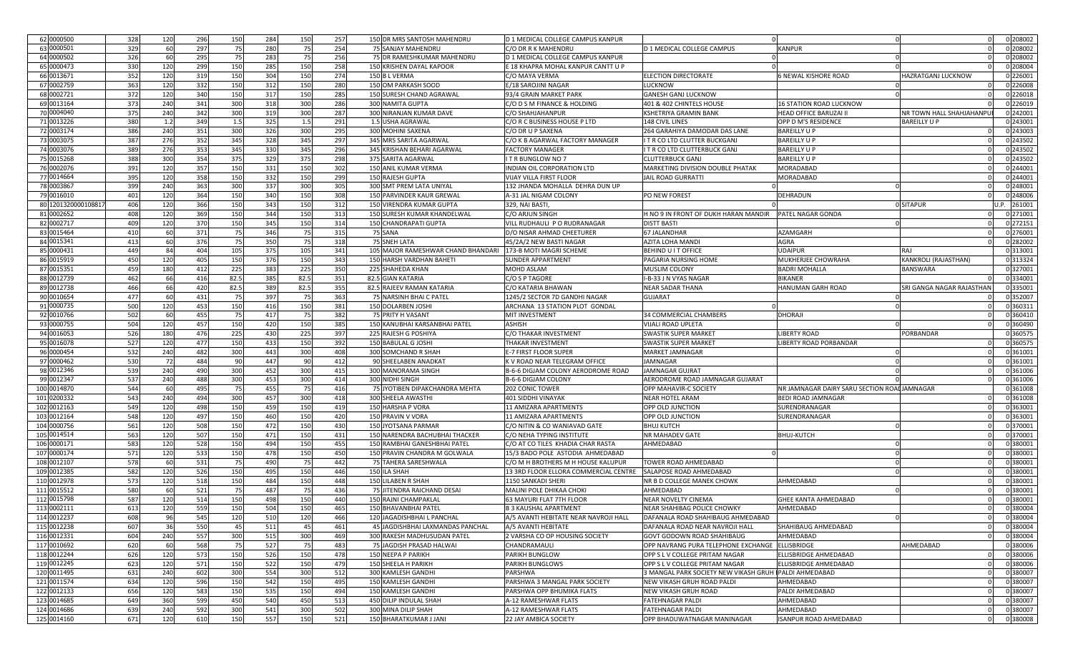| 62 0000500         | 328 | 120 | 296 | 150  | 284 | 150  | 257 | 150 DR MRS SANTOSH MAHENDRU        | D 1 MEDICAL COLLEGE CAMPUS KANPUR     |                                                       |                                             |                           | 0 208002 |
|--------------------|-----|-----|-----|------|-----|------|-----|------------------------------------|---------------------------------------|-------------------------------------------------------|---------------------------------------------|---------------------------|----------|
| 63 0000501         | 329 | 60  | 297 | 75   | 280 | 75   | 254 | 75 SANJAY MAHENDRL                 | C/O DR R K MAHENDRU                   | D 1 MEDICAL COLLEGE CAMPUS                            | <b><i>CANPUR</i></b>                        |                           | 0 208002 |
| 64 0000502         | 326 | 60  | 295 | 75   | 283 | 75   | 256 | 75 DR RAMESHKUMAR MAHENDRU         | D 1 MEDICAL COLLEGE CAMPUS KANPUR     |                                                       |                                             |                           | 0 208002 |
| 65 0000473         | 330 | 120 | 299 | 150  | 285 | 150  | 258 | 150 KRISHEN DAYAL KAPOOR           | E 18 KHAPRA MOHAL KANPUR CANTT U P    |                                                       |                                             |                           | 0 208004 |
| 66 0013671         | 352 | 120 | 319 | 150  | 304 | 150  | 274 | 150 B L VERMA                      | C/O MAYA VERMA                        | ELECTION DIRECTORATE                                  | 6 NEWAL KISHORE ROAD                        | <b>HAZRATGANJ LUCKNOW</b> | 0 226001 |
| 67 0002759         | 363 | 120 | 332 | 150  | 312 | 150  | 280 | 150 OM PARKASH SOOD                | E/18 SAROJINI NAGAF                   | LUCKNOW                                               |                                             |                           | 0 226008 |
| 68 0002721         |     |     |     |      |     |      |     |                                    |                                       |                                                       |                                             |                           |          |
|                    | 372 | 120 | 340 | 150  | 317 | 150  | 285 | 150 SURESH CHAND AGRAWAL           | 93/4 GRAIN MARKET PARK                | <b>GANESH GANJ LUCKNOW</b>                            |                                             |                           | 0 226018 |
| 69 0013164         | 373 | 240 | 341 | 300  | 318 | 300  | 286 | 300 NAMITA GUPTA                   | C/O D S M FINANCE & HOLDING           | 401 & 402 CHINTELS HOUSE                              | 16 STATION ROAD LUCKNOW                     |                           | 0 226019 |
| 70 0004040         | 375 | 240 | 342 | 300  | 319 | 300  | 287 | 300 NIRANJAN KUMAR DAVE            | C/O SHAHJAHANPUR                      | KSHETRIYA GRAMIN BANK                                 | HEAD OFFICE BARUZAI                         | NR TOWN HALL SHAHJAHANPI  | 0 242001 |
| 71 0013226         | 380 | 1.2 | 349 | 1.5  | 325 | 1.5  | 291 | JSHA AGRAWAL<br>1.5                | C/O R C BUSINESS HOUSE P LTD          | 148 CIVIL LINES                                       | OPP D M'S RESIDENCE                         | <b>BAREILLY U P</b>       | 0 243001 |
| 72 0003174         | 386 | 240 | 351 | 300  | 326 | 300  | 295 | 300 MOHINI SAXENA                  | C/O DR U P SAXENA                     | 264 GARAHIYA DAMODAR DAS LANE                         | <b>BAREILLY U F</b>                         |                           | 0 243003 |
| 73 0003075         | 387 | 276 | 352 | 345  | 328 | 345  | 297 | 345 MRS SARITA AGARWAL             | C/O K B AGARWAL FACTORY MANAGER       | I T R CO LTD CLUTTER BUCKGAN.                         | <b>BAREILLY U</b>                           |                           | 0 243502 |
| 74 0003076         | 389 | 276 | 353 | 345  | 330 | 345  | 296 | 345 KRISHAN BEHARI AGARWAL         | <b>FACTORY MANAGER</b>                | I T R CO LTD CLUTTERBUCK GANJ                         | <b>BAREILLY U F</b>                         |                           | 0 243502 |
| 75 0015268         | 388 | 300 | 354 | 375  | 329 | 375  | 298 | 375 SARITA AGARWAL                 | <b>IT R BUNGLOW NO 7</b>              | <b>CLUTTERBUCK GANJ</b>                               | BAREILLY U F                                |                           | 0 243502 |
| 76 0002076         | 391 | 120 | 357 | 150  | 331 | 150  | 302 | 150 ANIL KUMAR VERMA               | INDIAN OIL CORPORATION LTD            | MARKETING DIVISION DOUBLE PHATAK                      | MORADABAD                                   |                           | 0 244001 |
| 77 0014664         | 395 | 120 | 358 | 150  | 332 | 150  | 299 | 150 RAJESH GUPTA                   | <b>VIJAY VILLA FIRST FLOOR</b>        | JAIL ROAD GURRATTI                                    | MORADABAD                                   |                           | 0 244001 |
| 78 0003867         | 399 | 240 | 363 | 300  | 337 | 300  | 305 | 300 SMT PREM LATA UNIYAL           | 132 JHANDA MOHALLA DEHRA DUN UP       |                                                       |                                             |                           | 0 248001 |
| 79 0016010         | 401 | 120 | 364 | 150  | 340 | 150  | 308 | 150 PARVINDER KAUR GREWAI          | A-31 JAL NIGAM COLONY                 | PO NEW FOREST                                         | DEHRADUN                                    |                           | 0 248006 |
| 80 120132000010881 | 406 | 120 | 366 | 150  | 343 | 150  | 312 | 150 VIRENDRA KUMAR GUPTA           | 329, NAI BASTI                        |                                                       |                                             | <b>DISITAPUR</b>          | 261001   |
| 81 0002652         | 408 | 120 | 369 | 150  | 344 | 150  | 313 | 150 SURESH KUMAR KHANDELWAL        | C/O ARJUN SINGH                       | H NO 9 IN FRONT OF DUKH HARAN MANDIR                  | PATEL NAGAR GONDA                           |                           | 0 271001 |
| 82 0002717         | 409 | 120 | 370 | 150  | 345 | 150  | 314 | 150 CHANDRAPATI GUPTA              | VILL RUDHAULI P O RUDRANAGAR          | <b>DISTT BASTI</b>                                    |                                             |                           | 0 272151 |
| 83 0015464         | 410 | 60  | 371 | - 75 | 346 | - 75 | 315 | 75 SANA                            | D/O NISAR AHMAD CHEETURER             | 67 JALANDHAR                                          | AZAMGARH                                    |                           | 0 276001 |
| 84 0015341         | 413 | 60  | 376 | 75   | 350 | - 75 | 318 | 75 SNEH LATA                       | 45/2A/2 NEW BASTI NAGAR               | AZITA LOHA MANDI                                      | AGRA                                        |                           | 0 282002 |
| 85 0000431         | 449 | 84  |     |      |     |      |     | 105 MAJOR RAMESHWAR CHAND BHANDARI |                                       |                                                       |                                             | RAJ                       | 0 313001 |
|                    |     |     | 404 | 105  | 375 | 105  | 341 |                                    | 173-B MOTI MAGRI SCHEME               | BEHIND U I T OFFICE                                   | JDAIPUR                                     |                           |          |
| 86 0015919         | 450 | 120 | 405 | 150  | 376 | 150  | 343 | 150 HARSH VARDHAN BAHETI           | <b>SUNDER APPARTMENT</b>              | PAGARIA NURSING HOME                                  | MUKHERJEE CHOWRAHA                          | KANKROLI (RAJASTHAN)      | 0 313324 |
| 87 0015351         | 459 | 180 | 412 | 225  | 383 | 225  | 350 | 225<br><b>SHAHEDA KHAN</b>         | <b>MOHD ASLAM</b>                     | MUSLIM COLONY                                         | <b>BADRI MOHALLA</b>                        | <b>BANSWARA</b>           | 0 327001 |
| 88 0012739         | 462 | 66  | 416 | 82.5 | 385 | 82.5 | 351 | 82.5<br><b>GIAN KATARIA</b>        | C/O S P TAGORE                        | I-B-33 J N VYAS NAGAR                                 | BIKANER                                     |                           | 0 334001 |
| 89 0012738         | 466 | 66  | 420 | 82.5 | 389 | 82.5 | 355 | 82.5<br>RAJEEV RAMAN KATARIA       | C/O KATARIA BHAWAN                    | <b>NEAR SADAR THANA</b>                               | HANUMAN GARH ROAD                           | SRI GANGA NAGAR RAJASTHAI | 0 335001 |
| 90 0010654         | 477 | 60  | 431 | - 75 | 397 | 75   | 363 | VARSINH BHAI C PATEL               | 1245/2 SECTOR 7D GANDHI NAGAR         | <b>GUJARAT</b>                                        |                                             |                           | 0 352007 |
| 91 0000735         | 500 | 120 | 453 | 150  | 416 | 150  | 381 | 150 DOLARBEN JOSHI                 | ARCHANA 13 STATION PLOT GONDAL        |                                                       |                                             |                           | 0 360311 |
| 92 0010766         | 502 | 60  | 455 | 75   | 417 | - 75 | 382 | 75 PRITY H VASANT                  | <b>MIT INVESTMENT</b>                 | 34 COMMERCIAL CHAMBERS                                | <b>DHORAJI</b>                              |                           | 0 360410 |
| 93 0000755         | 504 | 120 | 457 | 150  | 420 | 150  | 385 | 150 KANUBHAI KARSANBHAI PATEL      | <b>ASHISH</b>                         | VIJALI ROAD UPLETA                                    |                                             |                           | 0 360490 |
| 94 0016053         | 526 | 180 | 476 | 225  | 430 | 225  | 397 | 225 RAJESH G POSHIYA               | C/O THAKAR INVESTMENT                 | SWASTIK SUPER MARKET                                  | <b>IBERTY ROAD</b>                          | PORBANDAR                 | 0 360575 |
| 95 0016078         | 527 | 120 | 477 | 150  | 433 | 150  | 392 | 150 BABULAL G JOSHI                | THAKAR INVESTMENT                     | SWASTIK SUPER MARKET                                  | IBERTY ROAD PORBANDAR                       |                           | 0 360575 |
| 96 0000454         | 532 | 240 | 482 | 300  | 443 | 300  | 408 | 300 SOMCHAND R SHAH                | E-7 FIRST FLOOR SUPER                 | MARKET JAMNAGAR                                       |                                             |                           | 0 361001 |
| 97 0000462         | 530 | 72  | 484 | 90   | 447 | 90   | 412 | 90 SHEELABEN ANADKA                | K V ROAD NEAR TELEGRAM OFFICE         | JAMNAGAR                                              |                                             |                           | 0 361001 |
| 98 0012346         | 539 | 240 | 490 | 300  | 452 | 300  | 415 | 300<br><b>MANORAMA SINGH</b>       | B-6-6 DIGJAM COLONY AERODROME ROAD    | JAMNAGAR GUJRAT                                       |                                             |                           | 0 361006 |
| 99 0012347         | 537 | 240 | 488 | 300  | 453 | 300  | 414 | 300<br><b>JIDHI SINGH</b>          | B-6-6 DIGJAM COLONY                   | AERODROME ROAD JAMNAGAR GUJARAT                       |                                             |                           | 0 361006 |
| 100 0014870        | 544 | 60  | 495 | 75   | 455 | 75   | 416 | 75 JYOTIBEN DIPAKCHANDRA MEHTA     | 202 CONIC TOWER                       | OPP MAHAVIR-C SOCIETY                                 | NR JAMNAGAR DAIRY SARU SECTION ROADJAMNAGAR |                           | 0 361008 |
| 101 0200332        | 543 | 240 | 494 | 300  | 457 | 300  | 418 | 300 SHEELA AWASTH                  | <b>401 SIDDHI VINAYAK</b>             | <b>NEAR HOTEL ARAM</b>                                | BEDI ROAD JAMNAGAR                          |                           | 0 361008 |
| 102 0012163        | 549 | 120 | 498 | 150  | 459 | 150  | 419 | 150 HARSHA P VORA                  | 11 AMIZARA APARTMENTS                 | OPP OLD JUNCTION                                      | SURENDRANAGAF                               |                           | 0 363001 |
| 103 0012164        | 548 | 120 | 497 | 150  |     | 150  | 420 |                                    |                                       |                                                       |                                             |                           | 0 363001 |
|                    |     |     |     |      | 460 |      |     | 150 PRAVIN V VORA                  | 11 AMIZARA APARTMENTS                 | OPP OLD JUNCTION                                      | SURENDRANAGAR                               |                           |          |
| 104 0000756        | 561 | 120 | 508 | 150  | 472 | 150  | 430 | 150.<br>YOTSANA PARMAF             | C/O NITIN & CO WANIAVAD GATE          | <b>BHUJ KUTCH</b>                                     |                                             |                           | 0 370001 |
| 105 0014514        | 563 | 120 | 507 | 150  | 471 | 150  | 431 | 150 NARENDRA BACHUBHAI THACKER     | C/O NEHA TYPING INSTITUTE             | NR MAHADEV GATE                                       | BHUJ-KUTCH                                  |                           | 0 37000  |
| 106 0000171        | 583 | 120 | 528 | 150  | 494 | 150  | 455 | 150 RAMBHAI GANESHBHAI PATEL       | C/O AT CO TILES KHADIA CHAR RASTA     | AHMEDABAD                                             |                                             |                           | 0 380001 |
| 107 0000174        | 571 | 120 | 533 | 150  | 478 | 150  | 450 | 150 PRAVIN CHANDRA M GOLWALA       | 15/3 BADO POLE ASTODIA AHMEDABAD      |                                                       |                                             |                           | 0 380001 |
| 108 0012107        | 578 | 60  | 531 | 75   | 490 | - 75 | 442 | <b>TAHERA SARESHWALA</b>           | C/O M H BROTHERS M H HOUSE KALUPUR    | TOWER ROAD AHMEDABAD                                  |                                             |                           | 0 38000  |
| 109 0012385        | 582 | 120 | 526 | 150  | 495 | 150  | 446 | 150 ILA SHAH                       | 13 3RD FLOOR ELLORA COMMERCIAL CENTRE | SALAPOSE ROAD AHMEDABAD                               |                                             |                           | 0 38000  |
| 110 0012978        | 573 | 120 | 518 | 150  | 484 | 150  | 448 | 150<br>ILABEN R SHAH               | 1150 SANKADI SHERI                    | NR B D COLLEGE MANEK CHOWK                            | AHMEDABAD                                   |                           | 0 38000  |
| 111 0015512        | 580 | 60  | 521 | 75   | 487 | 75   | 436 | 75 JITENDRA RAICHAND DESAI         | MALINI POLE DHIKAA CHOKI              | AHMEDABAD                                             |                                             |                           | 0 380001 |
| 112 0015798        | 587 | 120 | 514 | 150  | 498 | 150  | 440 | 150 RAJNI CHAMPAKLAI               | 63 MAYURI FLAT 7TH FLOOR              | NEAR NOVELTY CINEMA                                   | GHEE KANTA AHMEDABAD                        |                           | 0 380001 |
| 113 0002111        | 613 | 120 | 559 | 150  | 504 | 150  | 465 | 150 BHAVANBHAI PATEL               | <b>B 3 KAUSHAL APARTMENT</b>          | NEAR SHAHIBAG POLICE CHOWKY                           | AHMEDABAD                                   |                           | 0 380004 |
| 114 0012237        | 608 | 96  | 545 | 120  | 510 | 120  | 466 | 120 JAGADISHBHAI L PANCHAL         | A/5 AVANTI HEBITATE NEAR NAVROJI HALL | DAFANALA ROAD SHAHIBAUG AHMEDABAD                     |                                             |                           | 0 380004 |
| 115 0012238        | 607 | 36  | 550 | 45   | 511 | 45   | 461 | 45 JAGDISHBHAI LAXMANDAS PANCHAL   | A/5 AVANTI HEBITATE                   | DAFANALA ROAD NEAR NAVROJI HALL                       | SHAHIBAUG AHMEDABAD                         |                           | 0 380004 |
| 116 0012331        | 604 | 240 | 557 | 300  | 515 | 300  | 469 | 300 RAKESH MADHUSUDAN PATEL        | 2 VARSHA CO OP HOUSING SOCIETY        | GOVT GODOWN ROAD SHAHIBAUG                            | AHMEDABAD                                   |                           | 0 380004 |
| 117 0010692        | 620 | 60  | 568 | 75   | 527 | 75   | 483 | 75 JAGDISH PRASAD HALWAI           | CHANDRAMAULI                          | OPP NAVRANG PURA TELEPHONE EXCHANGE                   | <b>ELLISBRIDGE</b>                          | AHMEDABAD                 | 0 380006 |
| 118 0012244        | 626 | 120 | 573 | 150  | 526 | 150  | 478 | 150 NEEPA P PARIKH                 | PARIKH BUNGLOW                        | OPP S L V COLLEGE PRITAM NAGAR                        | <b>LLISBRIDGE AHMEDABAD</b>                 |                           | 0 380006 |
| 119 0012245        | 623 | 120 | 571 | 150  | 522 | 150  | 479 | 150 SHEELA H PARIKH                | <b>PARIKH BUNGLOWS</b>                | OPP S L V COLLEGE PRITAM NAGAR                        | ELLISBRIDGE AHMEDABAD                       |                           | 0 380006 |
| 120 0011495        | 631 | 240 | 602 | 300  | 554 | 300  | 512 | 300 KAMLESH GANDHI                 | PARSHWA                               | 3 MANGAL PARK SOCIETY NEW VIKASH GRUH PALDI AHMEDABAD |                                             |                           | 0 380007 |
| 121 0011574        | 634 |     | 596 | 150  | 542 |      |     |                                    | PARSHWA 3 MANGAL PARK SOCIETY         |                                                       | AHMEDABAD                                   |                           | 0 380007 |
| 122 0012133        |     | 120 |     |      |     | 150  | 495 | 150 KAMLESH GANDHI                 |                                       | NEW VIKASH GRUH ROAD PALDI<br>NEW VIKASH GRUH ROAD    | PALDI AHMEDABAD                             |                           |          |
|                    | 656 | 120 | 583 | 150  | 535 | 150  | 494 | 150 KAMLESH GANDHI                 | PARSHWA OPP BHUMIKA FLATS             |                                                       |                                             |                           | 0 380007 |
| 123 0014685        | 649 | 360 | 599 | 450  | 540 | 450  | 513 | 450 DILIP INDULAL SHAH             | A-12 RAMESHWAR FLATS                  | <b>FATEHNAGAR PALDI</b>                               | AHMEDABAD                                   |                           | 0 380007 |
| 124 0014686        | 639 | 240 | 592 | 300  | 541 | 300  | 502 | 300 MINA DILIP SHAH                | A-12 RAMESHWAR FLATS                  | <b>FATEHNAGAR PALDI</b>                               | AHMEDABAD                                   |                           | 0 380007 |
| 125 0014160        | 671 | 120 | 610 | 150  | 557 | 150  | 521 | 150 BHARATKUMAR J JANI             | 22 JAY AMBICA SOCIETY                 | OPP BHADUWATNAGAR MANINAGAR                           | ISANPUR ROAD AHMEDABAD                      |                           | 0 380008 |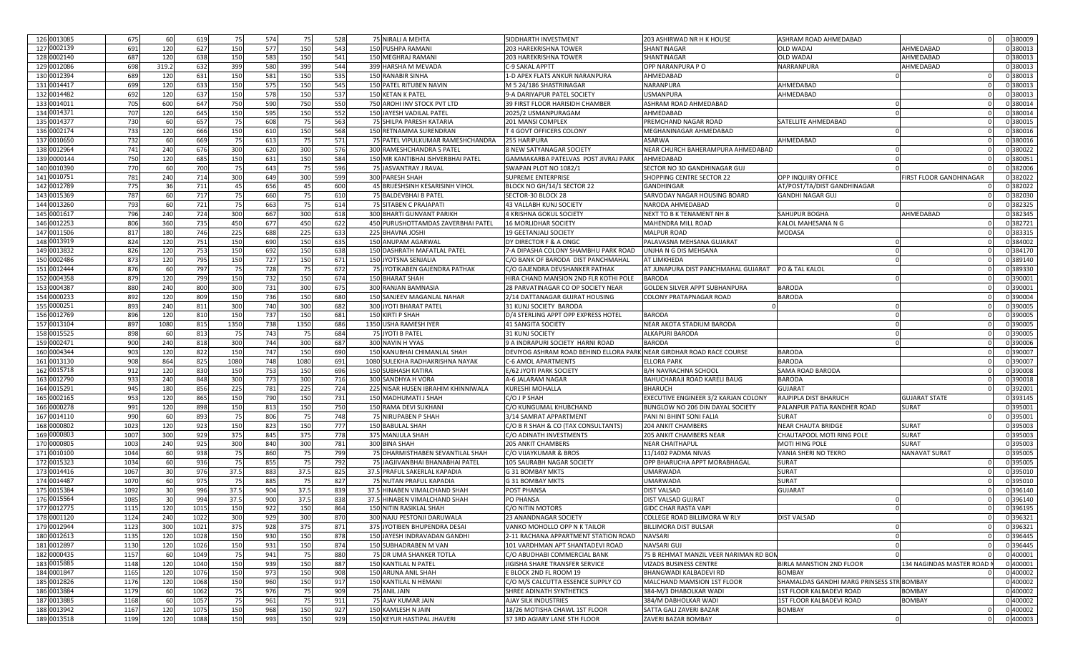| 126 0013085 | 675  | 60    | 619  | 75   | 574 | 75   | 528 | 75 NIRALI A MEHTA                  | SIDDHARTH INVESTMENT                                                 | 203 ASHIRWAD NR H K HOUSE             | ASHRAM ROAD AHMEDABAD                     |                            | 0 380009 |
|-------------|------|-------|------|------|-----|------|-----|------------------------------------|----------------------------------------------------------------------|---------------------------------------|-------------------------------------------|----------------------------|----------|
| 127 0002139 | 691  | 120   | 627  | 150  | 577 | 150  | 543 | 150 PUSHPA RAMANI                  | 203 HAREKRISHNA TOWER                                                | SHANTINAGAR                           | OLD WADAJ                                 | AHMEDABAD                  | 0 380013 |
| 128 0002140 | 687  | 120   | 638  | 150  | 583 | 150  | 541 | 150 MEGHRAJ RAMANI                 | 203 HAREKRISHNA TOWER                                                | SHANTINAGAR                           | OLD WADAJ                                 | AHMEDABAD                  | 0 380013 |
| 129 0012086 | 698  | 319.2 | 632  | 399  | 580 | 399  | 544 | 399 HARSHA M MEVADA                | C-9 SAKAL APPTT                                                      | OPP NARANPURA PO                      | NARRANPURA                                | AHMEDABAD                  | 0 380013 |
| 130 0012394 | 689  | 120   | 631  | 150  | 581 | 150  | 535 | 150 RANABIR SINHA                  | 1-D APEX FLATS ANKUR NARANPURA                                       | AHMEDABAD                             |                                           |                            | 0 380013 |
| 131 0014417 | 699  | 120   | 633  | 150  | 575 | 150  | 545 | 150 PATEL RITUBEN NAVIN            | M 5 24/186 SHASTRINAGAR                                              | NARANPURA                             | AHMEDABAD                                 |                            | 0 380013 |
| 132 0014482 | 692  | 120   | 637  | 150  | 578 | 150  | 537 | <b>150 KETAN K PATEL</b>           | 9-A DARIYAPUR PATEL SOCIETY                                          | <b>USMANPURA</b>                      | AHMEDABAD                                 |                            | 0 380013 |
| 133 0014011 |      | 600   |      |      |     |      |     |                                    |                                                                      |                                       |                                           |                            | 0 380014 |
|             | 705  |       | 647  | 750  | 590 | 750  | 550 | 750 AROHI INV STOCK PVT LTD        | 39 FIRST FLOOR HARISIDH CHAMBER                                      | ASHRAM ROAD AHMEDABAD                 |                                           |                            |          |
| 134 0014371 | 707  | 120   | 645  | 150  | 595 | 150  | 552 | 150 JAYESH VADILAL PATEL           | 2025/2 USMANPURAGAM                                                  | AHMEDABAD                             |                                           |                            | 0 380014 |
| 135 0014377 | 730  | 60    | 657  | 75   | 608 | - 75 | 563 | 75 SHILPA PARESH KATARIA           | 201 MANSI COMPLEX                                                    | PREMCHAND NAGAR ROAD                  | SATELLITE AHMEDABAD                       |                            | 0 380015 |
| 136 0002174 | 733  | 120   | 666  | 150  | 610 | 150  | 568 | 150 RETNAMMA SURENDRAN             | T 4 GOVT OFFICERS COLONY                                             | MEGHANINAGAR AHMEDABAD                |                                           |                            | 0 380016 |
| 137 0010650 | 732  | 60    | 669  | 75   | 613 | 75   | 571 | 75 PATEL VIPULKUMAR RAMESHCHANDRA  | 255 HARIPURA                                                         | ASARWA                                | AHMEDABAD                                 |                            | 0 380016 |
| 138 0012964 | 741  | 240   | 676  | 300  | 620 | 300  | 576 | 300 RAMESHCHANDRA S PATE           | 8 NEW SATYANAGAR SOCIETY                                             | NEAR CHURCH BAHERAMPURA AHMEDABAD     |                                           |                            | 0 380022 |
| 139 0000144 | 750  | 120   | 685  | 150  | 631 | 150  | 584 | 150 MR KANTIBHAI ISHVERBHAI PATEL  | GAMMAKARBA PATELVAS POST JIVRAJ PARK                                 | AHMEDABAD                             |                                           |                            | 0 380051 |
| 140 0010390 | 770  | 60    | 700  | 75   | 643 | - 75 | 596 | 75 JASVANTRAY J RAVAL              | SWAPAN PLOT NO 1082/1                                                | SECTOR NO 3D GANDHINAGAR GUJ          |                                           |                            | 0 382006 |
| 141 0010751 | 781  | 240   | 714  | 300  | 649 | 300  | 599 | 300 PARESH SHAH                    | <b>SUPREME ENTERPRISE</b>                                            | SHOPPING CENTRE SECTOR 22             | OPP INQUIRY OFFICE                        | FIRST FLOOR GANDHINAGAR    | 0 382022 |
| 142 0012789 | 775  | 36    | 711  | 45   | 656 | 45   | 600 | 45 BRIJESHSINH KESARISINH VIHOL    | BLOCK NO GH/14/1 SECTOR 22                                           | GANDHINGAR                            | AT/POST/TA/DIST GANDHINAGAR               |                            | 0 382022 |
| 143 0015369 | 787  | 60    | 717  | 75   | 660 | 75   | 610 | 75 BALDEVBHAI B PATEL              | SECTOR-30 BLOCK 28                                                   | SARVODAY NAGAR HOUSING BOARD          | GANDHI NAGAR GUJ                          |                            | 0 382030 |
| 144 0013260 | 793  | 60    | 721  | 75   | 663 | 75   | 614 | 75 SITABEN C PRAJAPATI             | 43 VALLABH KUNJ SOCIETY                                              | NARODA AHMEDABAD                      |                                           |                            | 0 382325 |
| 145 0001617 | 796  | 240   | 724  | 300  | 667 | 300  | 618 | 300 BHARTI GUNVANT PARIKH          | 4 KRISHNA GOKUL SOCIETY                                              | NEXT TO B K TENAMENT NH 8             | SAHIJPUR BOGHA                            | AHMEDABAD                  | 0 382345 |
| 146 0012253 | 806  | 360   | 735  | 450  | 677 | 450  | 622 | 450 PURUSHOTTAMDAS ZAVERBHAI PATEL | 16 MORLIDHAR SOCIETY                                                 | <b>MAHENDRA MILL ROAD</b>             | KALOL MAHESANA N G                        |                            | 0 382721 |
| 147 0011506 | 817  | 180   | 746  | 225  | 688 | 225  | 633 | 225 BHAVNA JOSHI                   | <b>19 GEETANJALI SOCIETY</b>                                         | <b>MALPUR ROAD</b>                    | MODASA                                    |                            | 0 383315 |
| 148 0013919 | 824  | 120   | 751  | 150  | 690 | 150  | 635 | 150 ANUPAM AGARWAL                 | DY DIRECTOR F & A ONGC                                               | PALAVASNA MEHSANA GUJARAT             |                                           |                            | 0 384002 |
| 149 0013832 | 826  | 120   | 753  | 150  | 692 | 150  | 638 | 150 DASHRATH MAFATLAL PATEL        | 7-A DIPASHA COLONY SHAMBHU PARK ROAD                                 | UNJHA N G DIS MEHSANA                 |                                           |                            | 0 384170 |
| 150 0002486 | 873  | 120   | 795  | 150  | 727 | 150  | 671 | 150 JYOTSNA SENJALIA               | C/O BANK OF BARODA DIST PANCHMAHAL                                   | AT LIMKHEDA                           |                                           |                            | 0 389140 |
| 151 0012444 | 876  | 60    | 797  | 75   | 728 |      | 672 |                                    |                                                                      | AT JUNAPURA DIST PANCHMAHAL GUJARAT   | <b>PO &amp; TAL KALOL</b>                 |                            | 0 389330 |
|             |      |       |      |      |     | - 75 |     | 75 JYOTIKABEN GAJENDRA PATHAK      | C/O GAJENDRA DEVSHANKER PATHAK                                       |                                       |                                           |                            |          |
| 152 0004358 | 879  | 120   | 799  | 150  | 732 | 150  | 674 | <b>150 BHARAT SHAH</b>             | HIRA CHAND MANSION 2ND FLR KOTHI POLE                                | <b>BARODA</b>                         |                                           |                            | 0 390001 |
| 153 0004387 | 880  | 240   | 800  | 300  | 731 | 300  | 675 | 300 RANJAN BAMNASIA                | 28 PARVATINAGAR CO OP SOCIETY NEAF                                   | GOLDEN SILVER APPT SUBHANPURA         | BARODA                                    |                            | 0 39000  |
| 154 0000233 | 892  | 120   | 809  | 150  | 736 | 150  | 680 | 150 SANJEEV MAGANLAL NAHAR         | 2/14 DATTANAGAR GUJRAT HOUSING                                       | COLONY PRATAPNAGAR ROAD               | <b>BARODA</b>                             |                            | 0 390004 |
| 155 0000251 | 893  | 240   | 811  | 300  | 740 | 300  | 682 | 300 JYOTI BHARAT PATEL             | 31 KUNJ SOCIETY BARODA                                               |                                       |                                           |                            | 0 390005 |
| 156 0012769 | 896  | 120   | 810  | 150  | 737 | 150  | 681 | 150 KIRTI P SHAH                   | D/4 STERLING APPT OPP EXPRESS HOTEL                                  | <b>BARODA</b>                         |                                           |                            | 0 390005 |
| 157 0013104 | 897  | 1080  | 815  | 1350 | 738 | 1350 | 686 | 1350 USHA RAMESH IYER              | 41 SANGITA SOCIETY                                                   | <b>NEAR AKOTA STADIUM BARODA</b>      |                                           |                            | 0 390005 |
| 158 0015525 | 898  | 60    | 813  | 75   | 743 | - 75 | 684 | 75 JYOTI B PATEL                   | 31 KUNJ SOCIETY                                                      | <b>ALKAPURI BARODA</b>                |                                           |                            | 0 390005 |
| 159 0002471 | 900  | 240   | 818  | 300  | 744 | 300  | 687 | 300 NAVIN H VYAS                   | 9 A INDRAPURI SOCIETY HARNI ROAD                                     | <b>BARODA</b>                         |                                           |                            | 0 390006 |
| 160 0004344 | 903  | 120   | 822  | 150  | 747 | 150  | 690 | 150 KANUBHAI CHIMANLAL SHAH        | DEVIYOG ASHRAM ROAD BEHIND ELLORA PARK NEAR GIRDHAR ROAD RACE COURSE |                                       | <b>BARODA</b>                             |                            | 0 390007 |
| 161 0013130 | 908  | 864   | 825  | 1080 | 748 | 1080 | 691 | 1080 SULEKHA RADHAKRISHNA NAYAK    | C-6 AMOL APARTMENTS                                                  | ELLORA PARK                           | <b>BARODA</b>                             |                            | 0 390007 |
| 162 0015718 | 912  | 120   | 830  | 150  | 753 | 150  | 696 | <b>150 SUBHASH KATIRA</b>          | E/62 JYOTI PARK SOCIETY                                              | B/H NAVRACHNA SCHOOL                  | SAMA ROAD BARODA                          |                            | 0 390008 |
| 163 0012790 | 933  | 240   | 848  | 300  | 773 | 300  | 716 | 300 SANDHYA H VORA                 | A-6 JALARAM NAGAR                                                    | BAHUCHARAJI ROAD KARELI BAUG          | <b>BARODA</b>                             |                            | 0 390018 |
| 164 0015291 | 945  | 180   | 856  | 225  | 781 | 225  | 724 | 225 NISAR HUSEN IBRAHIM KHINNIWALA | <b>KURESHI MOHALLA</b>                                               | BHARUCH                               | <b>GUJARAT</b>                            |                            | 0 392001 |
| 165 0002165 | 953  | 120   | 865  | 150  | 790 | 150  | 731 | 150 MADHUMATI J SHAH               | C/O J P SHAH                                                         | EXECUTIVE ENGINEER 3/2 KARJAN COLONY  | RAJPIPLA DIST BHARUCH                     | <b>GUJARAT STATE</b>       | 0 393145 |
| 166 0000278 | 991  | 120   | 898  | 150  | 813 | 150  | 750 | 150 RAMA DEVI SUKHANI              | C/O KUNGUMAL KHUBCHAND                                               | BUNGLOW NO 206 DIN DAYAL SOCIETY      | PALANPUR PATIA RANDHER ROAD               | <b>SURAT</b>               | 0 395001 |
| 167 0014110 | 990  | 60    | 893  | 75   | 806 | - 75 | 748 | 75 NIRUPABEN P SHAH                | 3/14 SAMRAT APPARTMENT                                               | PANI NI BHINT SONI FALIA              | SURAT                                     |                            | 0 395001 |
|             |      |       |      |      |     | 150  |     |                                    |                                                                      |                                       | <b>NEAR CHAUTA BRIDGE</b>                 |                            | 0 395003 |
| 168 0000802 | 1023 | 120   | 923  | 150  | 823 |      | 777 | 150 BABULAL SHAH                   | C/O B R SHAH & CO (TAX CONSULTANTS)                                  | 204 ANKIT CHAMBERS                    |                                           | <b>SURAT</b>               |          |
| 169 0000803 | 1007 | 300   | 929  | 375  | 845 | 375  | 778 | 375 MANJULA SHAH                   | C/O ADINATH INVESTMENTS                                              | 205 ANKIT CHAMBERS NEAR               | CHAUTAPOOL MOTI RING POLE                 | <b>SURAT</b>               | 0 395003 |
| 170 0000805 | 1003 | 240   | 925  | 300  | 840 | 300  | 781 | 300 BINA SHAH                      | <b>205 ANKIT CHAMBERS</b>                                            | <b>NEAR CHAITHAPUL</b>                | <b>MOTI HING POLE</b>                     | <b>SURAT</b>               | 0 395003 |
| 171 0010100 | 1044 | 60    | 938  | 75   | 860 | 75   | 799 | 75 DHARMISTHABEN SEVANTILAL SHAH   | C/O VIJAYKUMAR & BROS                                                | 11/1402 PADMA NIVAS                   | VANIA SHERI NO TEKRO                      | <b>NANAVAT SURAT</b>       | 0 395005 |
| 172 0015323 | 1034 | 60    | 936  | 75   | 855 | - 75 | 792 | 75 JAGJIVANBHAI BHANABHAI PATEL    | 105 SAURABH NAGAR SOCIETY                                            | OPP BHARUCHA APPT MORABHAGAL          | <b>SURAT</b>                              |                            | 0 395005 |
| 173 0014416 | 1067 | 30    | 976  | 37.5 | 883 | 37.5 | 825 | 37.5 PRAFUL SAKERLAL KAPADIA       | G 31 BOMBAY MKTS                                                     | UMARWADA                              | <b>SURAT</b>                              |                            | 0 395010 |
| 174 0014487 | 1070 | 60    | 975  | - 75 | 885 | - 75 | 827 | 75 NUTAN PRAFUL KAPADIA            | G 31 BOMBAY MKTS                                                     | UMARWADA                              | <b>SURAT</b>                              |                            | 0 395010 |
| 175 0015384 | 1092 | 30    | 996  | 37.5 | 904 | 37.5 | 839 | 37.5 HINABEN VIMALCHAND SHAH       | POST PHANSA                                                          | <b>DIST VALSAD</b>                    | <b>GUJARAT</b>                            |                            | 0 396140 |
| 176 0015564 | 1085 | 30    | 994  | 37.5 | 900 | 37.5 | 838 | 37.5 HINABEN VIMALCHAND SHAH       | <b>PO PHANSA</b>                                                     | <b>DIST VALSAD GUJRAT</b>             |                                           |                            | 0 396140 |
| 177 0012775 | 1115 | 120   | 1015 | 150  | 922 | 150  | 864 | 150 NITIN RASIKLAL SHAH            | C/O NITIN MOTORS                                                     | GIDC CHAR RASTA VAPI                  |                                           |                            | 0 396195 |
| 178 0001120 | 1124 | 240   | 1022 | 300  | 929 | 300  | 870 | 300 NAJU PESTONJI DARUWALA         | 23 ANANDNAGAR SOCIETY                                                | COLLEGE ROAD BILLIMORA W RLY          | <b>DIST VALSAD</b>                        |                            | 0 396321 |
| 179 0012944 | 1123 | 300   | 1021 | 375  | 928 | 375  | 871 | 375 JYOTIBEN BHUPENDRA DESAI       | VANKO MOHOLLO OPP N K TAILOR                                         | <b>BILLIMORA DIST BULSAR</b>          |                                           |                            | 0 396321 |
| 180 0012613 | 1135 | 120   | 1028 | 150  | 930 | 150  | 878 | 150 JAYESH INDRAVADAN GANDHI       | 2-11 RACHANA APPARTMENT STATION ROAD                                 | NAVSARI                               |                                           |                            | 0 396445 |
| 181 0012897 | 1130 | 120   | 1026 | 150  | 931 | 150  | 874 | 150 SUBHADRABEN M VAN              | 101 VARDHMAN APT SHANTADEVI ROAD                                     | NAVSARI GUJ                           |                                           |                            | 0 396445 |
| 182 0000435 | 1157 | 60    | 1049 | 75   | 941 | 75   | 880 | 75 DR UMA SHANKER TOTLA            | C/O ABUDHABI COMMERCIAL BANK                                         | 75 B REHMAT MANZIL VEER NARIMAN RD BO |                                           |                            | 0 400001 |
| 183 0015885 | 1148 | 120   | 1040 | 150  | 939 | 150  | 887 | 150 KANTILAL N PATEL               | JIGISHA SHARE TRANSFER SERVICE                                       | VIZADS BUSINESS CENTRE                | <b>BIRLA MANSTION 2ND FLOOR</b>           | 134 NAGINDAS MASTER ROAD I | 0 400001 |
| 184 0001847 | 1165 | 120   | 1076 | 150  | 973 | 150  | 908 | 150 ARUNA ANIL SHAH                | E BLOCK 2ND FL ROOM 19                                               | BHANGWADI KALBADEVI RD                | BOMBAY                                    |                            | 0 400002 |
| 185 0012826 | 1176 | 120   | 1068 | 150  | 960 | 150  | 917 | 150 KANTILAL N HEMANI              | C/O M/S CALCUTTA ESSENCE SUPPLY CO                                   | MALCHAND MAMSION 1ST FLOOR            | SHAMALDAS GANDHI MARG PRINSESS STR BOMBAY |                            | 0 400002 |
| 186 0013884 | 1179 | 60    | 1062 | 75   | 976 | 75   | 909 | 75 ANIL JAIN                       | SHREE ADINATH SYNTHETICS                                             | 384-M/3 DHABOLKAR WADI                | 1ST FLOOR KALBADEVI ROAD                  | <b>BOMBAY</b>              | 0 400002 |
| 187 0013885 | 1168 | 60    | 1057 | 75   | 961 | 75   | 911 | 75 AJAY KUMAR JAIN                 | AJAY SILK INDUSTRIES                                                 | 384/M DABHOLKAR WADI                  | 1ST FLOOR KALBADEVI ROAD                  | <b>BOMBAY</b>              | 0 400002 |
| 188 0013942 | 1167 | 120   | 1075 | 150  | 968 | 150  | 927 | 150 KAMLESH N JAIN                 | 18/26 MOTISHA CHAWL 1ST FLOOR                                        | SATTA GALI ZAVERI BAZAR               | <b>BOMBAY</b>                             |                            | 0 400002 |
|             |      |       |      |      |     |      |     |                                    |                                                                      |                                       |                                           |                            |          |
| 189 0013518 | 1199 | 120   | 1088 | 150  | 993 | 150  | 929 | 150 KEYUR HASTIPAL JHAVERI         | 37 3RD AGIARY LANE 5TH FLOOR                                         | ZAVERI BAZAR BOMBAY                   | $\mathbf 0$                               |                            | 0 400003 |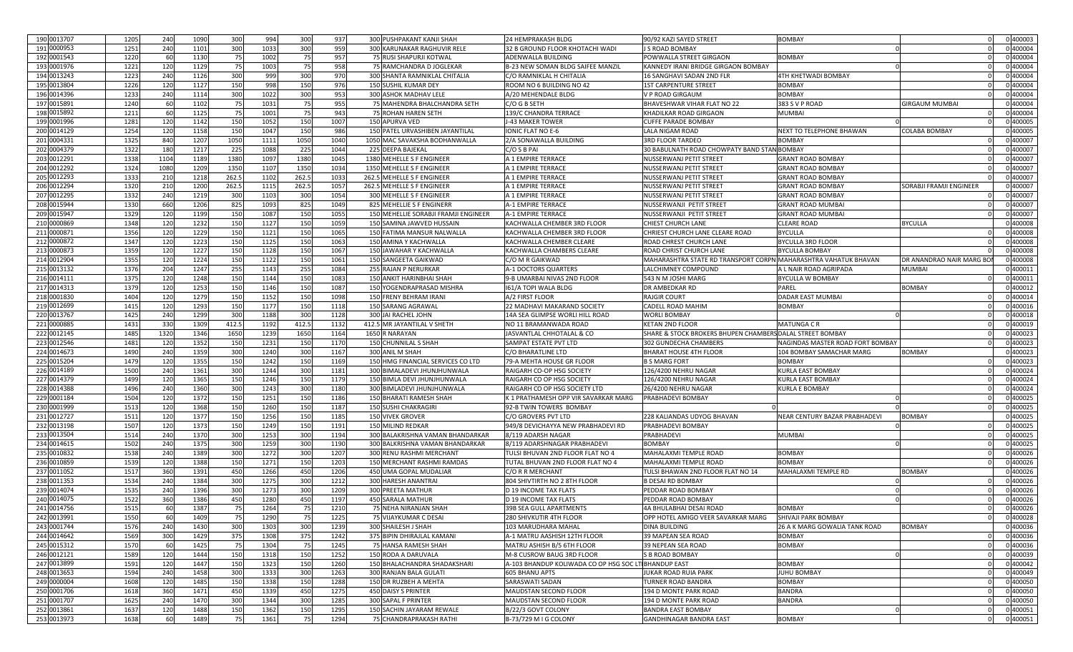| 190 0013707 | 1205 | 240             | 1090 | 300   | 994  | 300   | 937  |       | 300 PUSHPAKANT KANJI SHAH            | 24 HEMPRAKASH BLDG                                   | 90/92 KAZI SAYED STREET                                         | <b>BOMBAY</b>                    |                          | 0 400003 |
|-------------|------|-----------------|------|-------|------|-------|------|-------|--------------------------------------|------------------------------------------------------|-----------------------------------------------------------------|----------------------------------|--------------------------|----------|
| 191 0000953 | 1251 | 240             | 1101 | 300   | 1033 | 300   | 959  |       | 300 KARUNAKAR RAGHUVIR RELE          | 32 B GROUND FLOOR KHOTACHI WADI                      | I S ROAD BOMBAY                                                 |                                  |                          | 0 400004 |
| 192 0001543 | 1220 | 60              | 1130 | - 75  | 1002 | 75    | 957  |       | 75 RUSI SHAPURJI KOTWAL              | ADENWALLA BUILDING                                   | POWWALLA STREET GIRGAON                                         | <b>BOMBAY</b>                    |                          | 1400004  |
| 193 0001976 | 1221 | 12C             | 1129 | 75    | 1003 | 75    | 958  |       | 75 RAMCHANDRA D JOGLEKAF             | B-23 NEW SOMAN BLDG SAIFEE MANZIL                    | KANNEDY IRANI BRIDGE GIRGAON BOMBAY                             |                                  |                          | 0 400004 |
| 194 0013243 | 1223 | 240             | 1126 | 300   | 999  | 300   | 970  |       | 300 SHANTA RAMNIKLAL CHITALIA        | C/O RAMNIKLAL H CHITALIA                             | 16 SANGHAVI SADAN 2ND FLR                                       | 4TH KHETWADI BOMBAY              |                          | 0 400004 |
| 195 0013804 | 1226 | 12 <sub>C</sub> | 1127 | 150   | 998  | 150   | 976  |       | <b>150 SUSHIL KUMAR DEY</b>          | ROOM NO 6 BUILDING NO 42                             | <b>1ST CARPENTURE STREET</b>                                    | <b>BOMBAY</b>                    |                          | 0 400004 |
| 196 0014396 | 1233 | 240             | 1114 | 300   | 1022 | 300   | 953  |       | 300 ASHOK MADHAV LELE                | A/20 MEHENDALE BLDG                                  | V P ROAD GIRGAUM                                                | <b>BOMBAY</b>                    |                          | 0 400004 |
| 197 0015891 | 1240 | 60              | 1102 | - 75  | 1031 | 75    | 955  |       | 75 MAHENDRA BHALCHANDRA SETH         | C/O G B SETH                                         | BHAVESHWAR VIHAR FLAT NO 22                                     | 383 S V P ROAD                   | GIRGAUM MUMBAI           | 0 400004 |
| 198 0015892 | 1211 | 60              | 1125 | 75    | 1001 | 75    | 943  |       | 75 ROHAN HAREN SETH                  | 139/C CHANDRA TERRACE                                | <b>KHADILKAR ROAD GIRGAON</b>                                   | <b>MUMBAI</b>                    |                          | 0 400004 |
| 199 0001996 | 1281 | 120             | 1142 | 150   | 1052 | 150   | 1007 |       | 150 APURVA VED                       | J-43 MAKER TOWER                                     | <b>CUFFE PARADE BOMBAY</b>                                      |                                  |                          | 0 400005 |
| 200 0014129 | 1254 | 120             | 1158 | 150   | 1047 | 150   | 986  |       | 150 PATEL URVASHIBEN JAYANTILAL      | IONIC FLAT NO E-6                                    | LALA NIGAM ROAD                                                 | NEXT TO TELEPHONE BHAWAN         |                          | 0 400005 |
| 201 0004331 | 1325 | 84C             |      |       |      |       |      |       | 1050 MAC SAVAKSHA BODHANWALLA        | 2/A SONAWALLA BUILDING                               |                                                                 | <b>BOMBAY</b>                    | COLABA BOMBAY            | 400007   |
|             |      |                 | 1207 | 1050  | 1111 | 1050  | 1040 |       |                                      |                                                      | 3RD FLOOR TARDEO                                                |                                  |                          |          |
| 202 0004379 | 1322 | 180             | 1217 | 225   | 1088 | 225   | 1044 | 225   | DEEPA BAJEKAL                        | C/O S B PAI                                          | 30 BABULNATH ROAD CHOWPATY BAND STAN BOMBAY                     |                                  |                          | 100007   |
| 203 0012291 | 1338 | 1104            | 1189 | 1380  | 1097 | 1380  | 1045 |       | 1380 MEHELLE S F ENGINEER            | A 1 EMPIRE TERRACE                                   | NUSSERWANJ PETIT STREET                                         | <b>GRANT ROAD BOMBAY</b>         |                          | 0400007  |
| 204 0012292 | 132  | 1080            | 1209 | 135   | 1107 | 1350  | 1034 |       | 1350 MEHELLE S F ENGINEER            | A 1 EMPIRE TERRACE                                   | NUSSERWANJ PETIT STREET                                         | <b>GRANT ROAD BOMBAY</b>         |                          | 0400007  |
| 205 0012293 | 133  | 210             | 1218 | 262.5 | 1102 | 262.5 | 1033 |       | 262.5 MEHELLE S F ENGINEER           | A 1 EMPIRE TERRACE                                   | <b>NUSSERWANJ PETIT STREET</b>                                  | <b>GRANT ROAD BOMBAY</b>         |                          | 0 400007 |
| 206 0012294 | 1320 | 210             | 1200 | 262.5 | 1115 | 262.5 | 1057 |       | 262.5 MEHELLE S F ENGINEER           | A 1 EMPIRE TERRACE                                   | <b>NUSSERWANJ PETIT STREET</b>                                  | <b>GRANT ROAD BOMBAY</b>         | SORABJI FRAMJI ENGINEER  | 0 400007 |
| 207 0012295 | 1332 | 240             | 1219 | 300   | 1103 | 300   | 1054 |       | 300 MEHELLE S F ENGINEER             | A 1 EMPIRE TERRACE                                   | NUSSERWANJ PETIT STREET                                         | <b>GRANT ROAD BOMBAY</b>         |                          | 0 400007 |
| 208 0015944 | 1330 | 660             | 1206 | 825   | 1093 | 825   | 1049 |       | 825 MEHELLIE S F ENGINERR            | A-1 EMPIRE TERRACE                                   | NUSSERWANJI PETIT STREET                                        | <b>GRANT ROAD MUMBAI</b>         |                          | 1400007  |
| 209 0015947 | 1329 | 120             | 1199 | 150   | 1087 | 150   | 1055 |       | 150 MEHELLIE SORABJI FRAMJI ENGINEER | <b>A-1 EMPIRE TERRACE</b>                            | NUSSERWANJI PETIT STREET                                        | <b>GRANT ROAD MUMBAI</b>         |                          | 1400007  |
| 210 0000869 | 1348 | 120             | 1232 | 150   | 1127 | 150   | 1059 |       | 150 SAMINA JAWVED HUSSAIN            | KACHWALLA CHEMBER 3RD FLOOR                          | CHIEST CHURCH LANE                                              | <b>CLEARE ROAD</b>               | BYCULLA                  | 0 400008 |
| 211 0000871 | 1356 | 12C             | 1229 | 150   | 1121 | 150   | 1065 | 150 F | ATIMA MANSUR NALWALLA                | KACHWALLA CHEMBER 3RD FLOOR                          | CHRIEST CHURCH LANE CLEARE ROAD                                 | <b>BYCULLA</b>                   |                          | 0 400008 |
| 212 0000872 | 1347 | 12C             | 1223 | 150   | 1125 | 150   | 1063 |       | 150 AMINA Y KACHWALLA                | KACHWALLA CHEMBER CLEARE                             | ROAD CHREST CHURCH LANE                                         | <b>BYCULLA 3RD FLOOF</b>         |                          | 0 400008 |
| 213 0000873 | 135  | 12C             | 1227 | 150   | 1128 | 150   | 1067 |       | 150 JAWAHAR Y KACHWALLA              | KACHWALLA CHAMBERS CLEARE                            | ROAD CHRIST CHURCH LANE                                         | <b>BYCULLA BOMBAY</b>            |                          | 0 400008 |
| 214 0012904 | 1355 | 120             | 1224 | 150   | 1122 | 150   | 1061 |       | 150 SANGEETA GAIKWAD                 | C/O M R GAIKWAD                                      | MAHARASHTRA STATE RD TRANSPORT CORPNIMAHARASHTRA VAHATUK BHAVAN |                                  | DR ANANDRAO NAIR MARG BO | 0 400008 |
| 215 0013132 | 1376 | 204             | 1247 | 255   | 1143 | 255   | 1084 |       | 255 RAJAN P NERURKAR                 | A-1 DOCTORS QUARTERS                                 | LALCHIMNEY COMPOUND                                             | A L NAIR ROAD AGRIPADA           | <b>MUMBAI</b>            | 1400011  |
| 216 0014111 | 1375 | 12C             | 1248 | 150   | 1144 | 150   | 1083 |       | 150 ANKIT HARINBHAI SHAH             | 9-B UMARBAI NIVAS 2ND FLOOR                          | 543 N M JOSHI MARG                                              | <b>BYCULLA W BOMBAY</b>          |                          | 1400011  |
| 217 0014313 | 1379 | 12C             | 1253 | 150   | 1146 | 150   | 1087 | 150   | 'OGENDRAPRASAD MISHRA                | 161/A TOPI WALA BLDG                                 | DR AMBEDKAR RD                                                  | PAREL                            | BOMBAY                   | 0 400012 |
| 218 0001830 | 1404 | 120             | 1279 | 150   | 1152 | 150   | 1098 | 150   | RENY BEHRAM IRAN                     | A/2 FIRST FLOOR                                      | <b>RAJGIR COURT</b>                                             | DADAR EAST MUMBAI                |                          | 0 400014 |
| 219 0012699 | 1415 | 12C             | 1293 | 150   | 1177 | 150   | 1118 |       | 150 SARANG AGRAWAL                   | 22 MADHAVI MAKARAND SOCIETY                          | CADELL ROAD MAHIM                                               | <b>BOMBAY</b>                    |                          | 0 400016 |
| 220 0013767 | 1425 | 240             | 1299 | 300   | 1188 | 300   | 1128 | 300   | AI RACHEL JOHN                       | 14A SEA GLIMPSE WORLI HILL ROAD                      | <b>WORLI BOMBAY</b>                                             |                                  |                          | 0 400018 |
| 221 0000885 | 1431 | 330             | 1309 | 412.5 | 1192 | 412.5 | 1132 |       | 412.5 MR JAYANTILAL V SHETH          | NO 11 BRAMANWADA ROAD                                | <b>KETAN 2ND FLOOR</b>                                          | <b>MATUNGA CR</b>                |                          | 0 400019 |
| 222 0012145 | 1485 | 1320            | 1346 | 1650  | 1239 | 1650  | 1164 |       | 1650 R NARAYAN                       | JASVANTLAL CHHOTALAL & CO                            | SHARE & STOCK BROKERS BHUPEN CHAMBERS DALAL STREET BOMBAY       |                                  |                          | 0 400023 |
| 223 0012546 | 1481 | 12C             | 1352 | 150   | 1231 | 150   | 1170 |       | 150 CHUNNILAL S SHAH                 | SAMPAT ESTATE PVT LTD                                | 302 GUNDECHA CHAMBERS                                           | NAGINDAS MASTER ROAD FORT BOMBAY |                          | 0 400023 |
| 224 0014673 | 1490 | 240             |      | 300   | 1240 | 300   |      |       | 300 ANIL M SHAH                      | C/O BHARATLINE LTD                                   | BHARAT HOUSE 4TH FLOOR                                          | 104 BOMBAY SAMACHAR MARG         | BOMBAY                   | 0 400023 |
|             |      |                 | 1359 |       |      |       | 1167 |       |                                      |                                                      |                                                                 |                                  |                          |          |
| 225 0015204 | 1479 | 12C             | 1355 | 150   | 1242 | 150   | 1169 |       | 150 HMG FINANCIAL SERVICES CO LTD    | 79-A MEHTA HOUSE GR FLOOR                            | <b>B S MARG FORT</b>                                            | <b>BOMBAY</b>                    |                          | 1400023  |
| 226 0014189 | 1500 | 240             | 1361 | 300   | 1244 | 300   | 1181 |       | 300 BIMALADEVI JHUNJHUNWALA          | RAIGARH CO-OP HSG SOCIETY                            | 126/4200 NEHRU NAGAR                                            | <b>KURLA EAST BOMBAY</b>         |                          | 1400024  |
| 227 0014379 | 149  | 12 <sub>C</sub> | 1365 | 150   | 1246 | 150   | 1179 |       | 150 BIMLA DEVI JHUNJHUNWALA          | RAIGARH CO OP HSG SOCIETY                            | 126/4200 NEHRU NAGAR                                            | <b>KURLA EAST BOMBAY</b>         |                          | 0400024  |
| 228 0014388 | 1496 | 240             | 1360 | 300   | 1243 | 300   | 1180 |       | 300 BIMLADEVI JHUNJHUNWALA           | RAIGARH CO OP HSG SOCIETY LTD                        | 26/4200 NEHRU NAGAR                                             | <b>KURLA E BOMBAY</b>            |                          | 0 400024 |
| 229 0001184 | 1504 | 120             | 1372 | 150   | 1251 | 150   | 1186 |       | 150 BHARATI RAMESH SHAH              | K 1 PRATHAMESH OPP VIR SAVARKAR MARG                 | PRABHADEVI BOMBAY                                               |                                  |                          | 0400025  |
| 230 0001999 | 1513 | 12C             | 1368 | 150   | 1260 | 150   | 1187 |       | 150 SUSHI CHAKRAGIRI                 | 92-B TWIN TOWERS BOMBAY                              |                                                                 |                                  |                          | 0 400025 |
| 231 0012727 | 1511 | 12 <sub>C</sub> | 1377 | 150   | 1256 | 150   | 1185 |       | <b>150 VIVEK GROVER</b>              | C/O GROVERS PVT LTD                                  | 228 KALIANDAS UDYOG BHAVAN                                      | NEAR CENTURY BAZAR PRABHADEVI    | BOMBAY                   | 0 400025 |
| 232 0013198 | 150  | 120             | 1373 | 150   | 1249 | 150   | 1191 |       | 150 MILIND REDKAR                    | 949/8 DEVICHAYYA NEW PRABHADEVI RD                   | PRABHADEVI BOMBAY                                               |                                  |                          | 0 400025 |
| 233 0013504 | 1514 | 240             | 1370 | 300   | 1253 | 300   | 1194 |       | 300 BALAKRISHNA VAMAN BHANDARKAR     | 8/119 ADARSH NAGAR                                   | PRABHADEVI                                                      | <b>MUMBAI</b>                    |                          | 1400025  |
| 234 0014615 | 1502 | 240             | 1375 | 300   | 1259 | 300   | 1190 |       | 300 BALKRISHNA VAMAN BHANDARKAR      | 8/119 ADARSHNAGAR PRABHADEVI                         | BOMBAY                                                          |                                  |                          | 1400025  |
| 235 0010832 | 1538 | 240             | 1389 | 300   | 1272 | 300   | 1207 |       | 300 RENU RASHMI MERCHANT             | <b>IULSI BHUVAN 2ND FLOOR FLAT NO 4</b>              | <b>MAHALAXMI TEMPLE ROAD</b>                                    | BOMBAY                           |                          | 1400026  |
| 236 0010859 | 1539 | 12 <sub>C</sub> | 1388 | 150   | 1271 | 150   | 1203 |       | 150 MERCHANT RASHMI RAMDAS           | TUTAL BHUVAN 2ND FLOOR FLAT NO 4                     | MAHALAXMI TEMPLE ROAD                                           | <b>BOMBAY</b>                    |                          | 0 400026 |
| 237 0011052 | 1517 | 360             | 1391 | 450   | 1266 | 450   | 1206 |       | 450 UMA GOPAL MUDALIAR               | C/O R R MERCHANT                                     | TULSI BHAWAN 2ND FLOOR FLAT NO 14                               | MAHALAXMI TEMPLE RD              | BOMBAY                   | 0 400026 |
| 238 0011353 | 1534 | 240             | 1384 | 300   | 1275 | 300   | 1212 |       | 300 HARESH ANANTRAI                  | 804 SHIVTIRTH NO 2 8TH FLOOR                         | <b>B DESAI RD BOMBAY</b>                                        |                                  |                          | 0 400026 |
| 239 0014074 | 1535 | 240             | 1396 | 300   | 1273 | 300   | 1209 |       | 300 PREETA MATHUR                    | D 19 INCOME TAX FLATS                                | PEDDAR ROAD BOMBAY                                              |                                  |                          | 0 400026 |
| 240 0014075 | 1522 | 360             | 1386 | 450   | 1280 | 450   | 1197 |       | 450 SARALA MATHUR                    | D 19 INCOME TAX FLATS                                | PEDDAR ROAD BOMBAY                                              |                                  |                          | 0 400026 |
| 241 0014756 | 1515 |                 | 1387 |       | 1264 |       | 1210 |       | 75 NEHA NIRANJAN SHAH                | 39B SEA GULL APARTMENTS                              | 4A BHULABHAI DESAI ROAD                                         | <b>BOMBAY</b>                    |                          | 0 400026 |
| 242 0013991 | 1550 | 60              | 1409 | 75    | 1290 | 75    | 1225 |       | 75 VIJAYKUMAR C DESAI                | 280 SHIVKUTIR 4TH FLOOR                              | OPP HOTEL AMIGO VEER SAVARKAR MARG                              | SHIVAJI PARK BOMBAY              |                          | 0 400028 |
| 243 0001744 | 1576 | 240             | 1430 | 300   | 1303 | 300   | 1239 |       | 300 SHAILESH J SHAH                  | 103 MARUDHARA MAHAL                                  | <b>DINA BUILDING</b>                                            | 26 A K MARG GOWALIA TANK ROAD    | <b>BOMBAY</b>            | 0 400036 |
| 244 0014642 | 1569 | 300             | 1429 | 375   | 1308 | 375   | 1242 |       | 375 BIPIN DHIRAJLAL KAMANI           | A-1 MATRU AASHISH 12TH FLOOR                         | 39 MAPEAN SEA ROAD                                              | <b>BOMBAY</b>                    |                          | 0 400036 |
| 245 0015312 | 1570 | 60              | 1425 | 75    | 1304 | 75    | 1245 |       | 75 HANSA RAMESH SHAH                 | MATRU ASHISH B/5 6TH FLOOR                           | 39 NEPEAN SEA ROAD                                              | <b>BOMBAY</b>                    |                          | 0 400036 |
| 246 0012121 | 1589 | 120             | 1444 | 150   | 1318 | 150   | 1252 |       | 150 RODA A DARUVALA                  | M-8 CUSROW BAUG 3RD FLOOR                            | <b>S B ROAD BOMBAY</b>                                          |                                  |                          | 0 400039 |
| 247 0013899 | 1591 | 120             | 1447 | 150   | 1323 | 150   | 1260 |       | 150 BHALACHANDRA SHADAKSHARI         | A-103 BHANDUP KOLIWADA CO OP HSG SOC LT BHANDUP EAST |                                                                 | <b>BOMBAY</b>                    |                          | 0 400042 |
| 248 0013653 | 1594 | 240             | 1458 | 300   | 1333 | 300   | 1263 |       | 300 RANJAN BALA GULATI               | <b>605 BHANU APTS</b>                                | JUKAR ROAD RUIA PARK                                            | <b>JUHU BOMBAY</b>               |                          | 0 400049 |
| 249 0000004 | 1608 | 120             | 1485 | 150   | 1338 | 150   | 1288 |       | 150 DR RUZBEH A MEHTA                | SARASWATI SADAN                                      | <b>TURNER ROAD BANDRA</b>                                       | <b>BOMBAY</b>                    |                          | 0 400050 |
| 250 0001706 | 1618 | 360             | 1471 | 450   | 1339 | 450   | 1275 |       | 450 DAISY S PRINTER                  | MAUDSTAN SECOND FLOOR                                | 194 D MONTE PARK ROAD                                           | <b>BANDRA</b>                    |                          | 0 400050 |
| 251 0001707 | 1625 | 240             | 1470 | 300   | 1344 | 300   | 1285 |       | 300 SAPAL F PRINTER                  | <b>MAUDSTAN SECOND FLOOR</b>                         | 194 D MONTE PARK ROAD                                           | <b>BANDRA</b>                    |                          | 0 400050 |
| 252 0013861 | 1637 | 12 <sub>C</sub> | 1488 | 150   | 1362 | 150   | 1295 |       | 150 SACHIN JAYARAM REWALE            | B/22/3 GOVT COLONY                                   | <b>BANDRA EAST BOMBAY</b>                                       |                                  |                          | 0 400051 |
| 253 0013973 | 1638 | 60              | 1489 | 75    | 1361 | 75    | 1294 |       | 75 CHANDRAPRAKASH RATHI              | B-73/729 M I G COLONY                                | GANDHINAGAR BANDRA EAST                                         | <b>BOMBAY</b>                    |                          | 0 400051 |
|             |      |                 |      |       |      |       |      |       |                                      |                                                      |                                                                 |                                  |                          |          |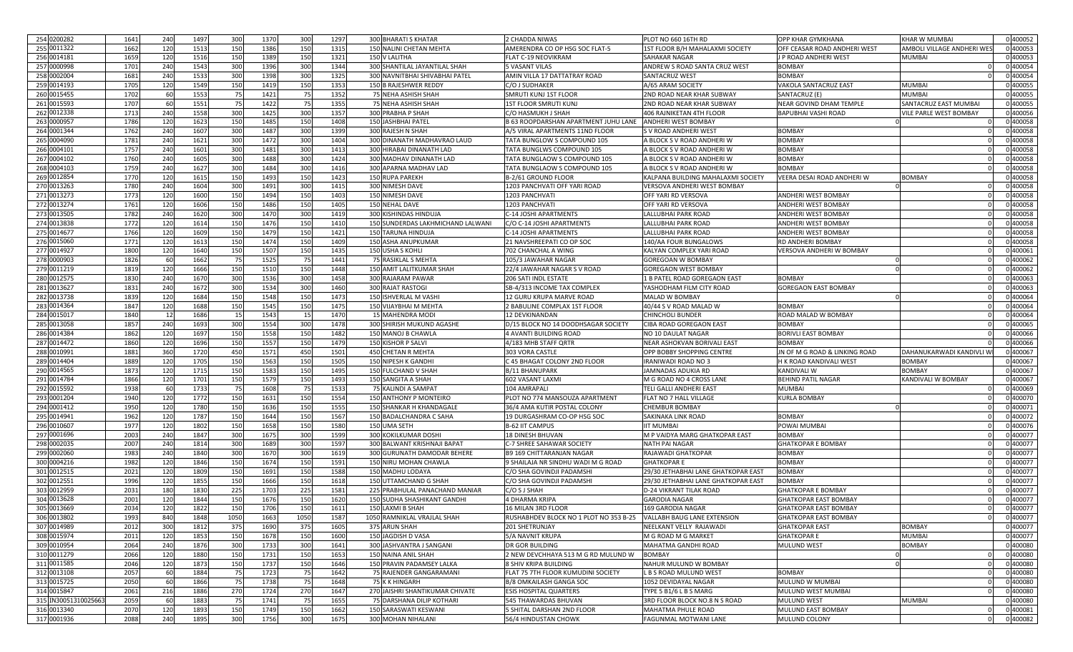| 254 0200282         | 1641 | 240             | 1497 | 300  | 1370 | 300  | 1297 | <b>300 BHARATI S KHATAR</b>       | 2 CHADDA NIWAS                                                     | PLOT NO 660 16TH RD                 | OPP KHAR GYMKHANA                          | KHAR W MUMBAI              | 0 400052 |
|---------------------|------|-----------------|------|------|------|------|------|-----------------------------------|--------------------------------------------------------------------|-------------------------------------|--------------------------------------------|----------------------------|----------|
| 255 0011322         | 1662 | 120             | 1513 | 150  | 1386 | 150  | 1315 | 150 NALINI CHETAN MEHTA           | AMERENDRA CO OP HSG SOC FLAT-5                                     | 1ST FLOOR B/H MAHALAXMI SOCIETY     | OFF CEASAR ROAD ANDHERI WEST               | AMBOLI VILLAGE ANDHERI WE! | 400053   |
| 256 0014181         | 1659 | 120             | 1516 | 150  | 1389 | 150  | 1321 | 150 V LALITHA                     | FLAT C-19 NEOVIKRAM                                                | SAHAKAR NAGAR                       | J P ROAD ANDHERI WEST                      | MUMBAI                     | 0 400053 |
| 257 0000998         | 1701 | 240             | 1543 | 300  | 1396 | 300  | 1344 | 300 SHANTILAL JAYANTILAL SHAH     | <b>5 VASANT VILAS</b>                                              | ANDREW S ROAD SANTA CRUZ WEST       | <b>BOMBAY</b>                              |                            | 0 400054 |
| 258 0002004         | 1681 | 240             | 1533 | 300  | 1398 | 300  | 1325 | 300 NAVNITBHAI SHIVABHAI PATEL    | AMIN VILLA 17 DATTATRAY ROAD                                       | SANTACRUZ WEST                      | <b>BOMBAY</b>                              |                            | 0400054  |
| 259 0014193         | 1705 | 120             | 1549 | 150  | 1419 | 150  | 1353 | 150 B RAJESHWER REDDY             | C/O J SUDHAKER                                                     | A/65 ARAM SOCIETY                   | VAKOLA SANTACRUZ EAST                      | <b>MUMBAI</b>              | 0 400055 |
| 260 0015455         | 1702 | 60              | 1553 | 75   | 1421 | - 75 | 1352 | 75 NEHA ASHISH SHAH               | SMRUTI KUNJ 1ST FLOOR                                              | 2ND ROAD NEAR KHAR SUBWAY           | SANTACRUZ (E)                              | <b>MUMBAI</b>              | 0 400055 |
| 261 0015593         | 1707 | 60              |      | 75   |      | 75   |      |                                   |                                                                    |                                     | NEAR GOVIND DHAM TEMPLE                    |                            | 0 400055 |
|                     |      |                 | 1551 |      | 1422 |      | 1355 | 75 NEHA ASHISH SHAH               | <b>1ST FLOOR SMRUTI KUNJ</b>                                       | 2ND ROAD NEAR KHAR SUBWAY           |                                            | SANTACRUZ EAST MUMBAI      |          |
| 262 0012338         | 1713 | 240             | 1558 | 300  | 1425 | 300  | 1357 | 300 PRABHA P SHAH                 | C/O HASMUKH J SHAH                                                 | 406 RAJNIKETAN 4TH FLOOR            | BAPUBHAI VASHI ROAD                        | VILE PARLE WEST BOMBAY     | 0400056  |
| 263 0000957         | 1786 | 120             | 1623 | 150  | 1485 | 150  | 1408 | 150 JASHBHAI PATEL                | B 63 ROOPDARSHAN APARTMENT JUHU LANE                               | <b>ANDHERI WEST BOMBAY</b>          |                                            |                            | 400058   |
| 264 0001344         | 1762 | 240             | 1607 | 300  | 1487 | 300  | 1399 | 300 RAJESH N SHAH                 | A/5 VIRAL APARTMENTS 11ND FLOOR                                    | S V ROAD ANDHERI WEST               | <b>BOMBAY</b>                              |                            | 1400058  |
| 265 0004090         | 1781 | 240             | 1621 | 300  | 1472 | 300  | 1404 | 300 DINANATH MADHAVRAO LAUD       | TATA BUNGLOW S COMPOUND 105                                        | A BLOCK S V ROAD ANDHERI W          | <b>BOMBAY</b>                              |                            | 0 400058 |
| 266 0004101         | 1757 | 240             | 1601 | 300  | 1481 | 300  | 1413 | 300 HIRABAI DINANATH LAD          | <b>TATA BUNGLWS COMPOUND 105</b>                                   | A BLOCK S V ROAD ANDHERI W          | <b>BOMBAY</b>                              |                            | 0 400058 |
| 267 0004102         | 1760 | 240             | 1605 | 300  | 1488 | 300  | 1424 | 300 MADHAV DINANATH LAD           | TATA BUNGLAOW S COMPOUND 105                                       | A BLOCK S V ROAD ANDHERI W          | <b>BOMBAY</b>                              |                            | 1400058  |
| 268 0004103         | 1759 | 240             | 1627 | 300  | 1484 | 300  | 1416 | 300 APARNA MADHAV LAD             | TATA BUNGLAOW S COMPOUND 105                                       | A BLOCK S V ROAD ANDHERI W          | <b>BOMBAY</b>                              |                            | 0 400058 |
| 269 0012854         | 1770 | 120             | 1615 | 150  | 1493 | 150  | 1423 | <b>150 RUPA PAREKH</b>            | B-2/61 GROUND FLOOR                                                | KALPANA BUILDING MAHALAXMI SOCIETY  | VEERA DESAI ROAD ANDHERI W                 | BOMBAY                     | 0400058  |
| 270 0013263         | 1780 | 240             | 1604 | 300  | 1491 | 300  | 1415 | 300 NIMESH DAVE                   | 1203 PANCHVATI OFF YARI ROAD                                       | VERSOVA ANDHERI WEST BOMBAY         |                                            |                            | 0400058  |
| 271 0013273         | 1773 | 120             | 1600 | 150  | 1494 | 150  | 1403 | 150 NIMESH DAVE                   | 1203 PANCHVATI                                                     | OFF YARI RD VERSOVA                 | ANDHERI WEST BOMBAY                        |                            | 0400058  |
| 272 0013274         | 1761 | 120             | 1606 | 150  | 1486 | 150  | 1405 | 150 NEHAL DAVE                    | 1203 PANCHVATI                                                     | OFF YARI RD VERSOVA                 | ANDHERI WEST BOMBAY                        |                            | 1400058  |
| 273 0013505         | 1782 | 240             | 1620 | 300  | 1470 | 300  | 1419 | 300 KISHINDAS HINDUJA             | C-14 JOSHI APARTMENTS                                              | LALLUBHAI PARK ROAD                 | <b>ANDHERI WEST BOMBAY</b>                 |                            | 0 400058 |
| 274 0013838         | 1772 | 120             | 1614 | 150  | 1476 | 150  | 1410 | 150 SUNDERDAS LAKHMICHAND LALWANI | C/O C-14 JOSHI APARTMENTS                                          | LALLUBHAI PARK ROAD                 | ANDHERI WEST BOMBAY                        |                            | 0 400058 |
| 275 0014677         | 1766 | 120             | 1609 | 150  | 1479 | 150  | 1421 | 150 TARUNA HINDUJA                | C-14 JOSHI APARTMENTS                                              | LALLUBHAI PARK ROAD                 | <b>ANDHERI WEST BOMBAY</b>                 |                            | 0 400058 |
| 276 0015060         | 1771 | 120             | 1613 | 150  | 1474 | 150  | 1409 | 150 ASHA ANUPKUMAR                | 21 NAVSHREEPATI CO OP SOC                                          | 140/AA FOUR BUNGALOWS               | RD ANDHERI BOMBAY                          |                            | 0 400058 |
| 277 0014927         | 1800 | 120             | 1640 | 150  | 1507 | 150  | 1435 | <b>150 USHA S KOHLI</b>           | 702 CHANCHAL A WINC                                                | KALYAN COMPLEX YARI ROAD            | VERSOVA ANDHERI W BOMBAY                   |                            | 0400061  |
| 278 0000903         | 1826 | 60              | 1662 | 75   | 1525 | 75   | 1441 | 75 RASIKLAL S MEHTA               | 105/3 JAWAHAR NAGAR                                                | <b>GOREGOAN W BOMBAY</b>            |                                            |                            | 0400062  |
| 279 0011219         | 1819 | 120             | 1666 | 150  | 1510 | 150  | 1448 | 150 AMIT LALITKUMAR SHAH          | 22/4 JAWAHAR NAGAR S V ROAD                                        | <b>GOREGAON WEST BOMBAY</b>         |                                            |                            | 1400062  |
| 280 0012575         | 1830 | 240             |      | 300  | 1536 | 300  | 1458 |                                   | 206 SATI INDL ESTATE                                               | 1 B PATEL ROAD GOREGAON EAST        | <b>BOMBAY</b>                              |                            | 1400063  |
| 281 0013627         | 1831 | 240             | 1670 |      |      |      |      | 300 RAJARAM PAWAF                 |                                                                    |                                     |                                            |                            | 0 400063 |
|                     |      |                 | 1672 | 300  | 1534 | 300  | 1460 | 300 RAJAT RASTOGI                 | SB-4/313 INCOME TAX COMPLEX                                        | YASHODHAM FILM CITY ROAD            | <b>GOREGAON EAST BOMBAY</b>                |                            |          |
| 282 0013738         | 1839 | 120             | 1684 | 150  | 1548 | 150  | 1473 | 150 ISHVERLAL M VASH              | 12 GURU KRUPA MARVE ROAD                                           | MALAD W BOMBAY                      |                                            |                            | 0 400064 |
| 283 0014364         | 1847 | 120             | 1688 | 150  | 1545 | 150  | 1475 | 150 VIJAYBHAI M MEHTA             | 2 BABULINE COMPLAX 1ST FLOOR                                       | 40/44 S V ROAD MALAD W              | <b>BOMBAY</b>                              |                            | 1400064  |
| 284 0015017         | 1840 | 12              | 1686 | 15   | 1543 | - 15 | 1470 | <b>15 MAHENDRA MODI</b>           | <b>12 DEVKINANDAN</b>                                              | <b>CHINCHOLI BUNDER</b>             | ROAD MALAD W BOMBAY                        |                            | 1400064  |
| 285 0013058         | 1857 | 240             | 1693 | 300  | 1554 | 300  | 1478 | 300 SHIRISH MUKUND AGASHE         | D/15 BLOCK NO 14 DOODHSAGAR SOCIETY                                | CIBA ROAD GOREGAON EAST             | <b>BOMBAY</b>                              |                            | 0 400065 |
| 286 0014384         | 1862 | 120             | 1697 | 150  | 1558 | 150  | 1482 | 150 MANOJ B CHAWLA                | 4 AVANTI BUILDING ROAD                                             | NO 10 DAULAT NAGAR                  | BORIVLI EAST BOMBAY                        |                            | 0 400066 |
|                     |      |                 |      |      |      |      |      |                                   |                                                                    |                                     |                                            |                            |          |
| 287 0014472         | 1860 | 120             | 1696 | 150  | 1557 | 150  | 1479 | 150 KISHOR P SALVI                | 4/183 MHB STAFF QRTR                                               | NEAR ASHOKVAN BORIVALI EAST         | <b>BOMBAY</b>                              |                            | 0 400066 |
| 288 0010991         | 1881 | 360             | 1720 | 450  | 1571 | 450  | 1501 | 450 CHETAN R MEHTA                | 303 VORA CASTLE                                                    | OPP BOBBY SHOPPING CENTRE           | JN OF M G ROAD & LINKING ROAD              | DAHANUKARWADI KANDIVLI W   | 400067   |
| 289 0014404         | 1889 | 120             | 1705 | 150  | 1563 | 150  | 1505 | 150 NIPESH K GANDH                | C 45 BHAGAT COLONY 2ND FLOOR                                       | IRANIWADI ROAD NO 3                 | H K ROAD KANDIVALI WEST                    | BOMBAY                     | 0 400067 |
| 290 0014565         | 1873 | 120             | 1715 | 150  | 1583 | 150  | 1495 | 150 FULCHAND V SHAH               | <b>B/11 BHANUPARK</b>                                              | JAMNADAS ADUKIA RD                  | KANDIVALI W                                | <b>BOMBAY</b>              | 0 400067 |
| 291 0014784         | 1866 | 120             | 1701 | 150  | 1579 | 150  | 1493 | 150 SANGITA A SHAH                | 602 VASANT LAXMI                                                   | M G ROAD NO 4 CROSS LANE            |                                            | KANDIVALI W BOMBAY         | 0 400067 |
| 292 0015592         | 1938 | 60              | 1733 | 75   | 1608 | 75   | 1533 | 75 KALINDI A SAMPAT               | 104 AMRAPALI                                                       | TELI GALLI ANDHERI EAST             | <b>BEHIND PATIL NAGAR</b><br><b>MUMBAI</b> |                            | 1400069  |
|                     | 1940 |                 |      |      |      |      |      |                                   | PLOT NO 774 MANSOUZA APARTMENT                                     | FLAT NO 7 HALL VILLAGE              |                                            |                            |          |
| 293 0001204         |      | 120             | 1772 | 150  | 1631 | 150  | 1554 | 150 ANTHONY P MONTEIRO            |                                                                    |                                     | KURLA BOMBAY                               |                            | 0 400070 |
| 294 0001412         | 1950 | 120             | 1780 | 150  | 1636 | 150  | 1555 | 150 SHANKAR H KHANDAGALE          | 36/4 AMA KUTIR POSTAL COLONY                                       | <b>CHEMBUR BOMBAY</b>               |                                            |                            | 0 400071 |
| 295 0014941         | 1962 | 120             | 1787 | 150  | 1644 | 150  | 1567 | 150 BADALCHANDRA C SAHA           | 19 DURGASHRAM CO-OP HSG SOC                                        | SAKINAKA LINK ROAD                  | <b>BOMBAY</b>                              |                            | 0400072  |
| 296 0010607         | 1977 | 120             | 1802 | 150  | 1658 | 150  | 1580 | 150 UMA SETH                      | <b>B-62 IIT CAMPUS</b>                                             | <b>IIT MUMBAI</b>                   | POWAI MUMBAI                               |                            | 0400076  |
| 297 0001696         | 2003 | 240             | 1847 | 300  | 1675 | 300  | 1599 | <b>300 KOKILKUMAR DOSHI</b>       | <b>18 DINESH BHUVAN</b>                                            | M P VAIDYA MARG GHATKOPAR EAST      | BOMBAY                                     |                            | 400077   |
| 298 0002035         | 2007 | 240             | 1814 | 300  | 1689 | 300  | 1597 | 300 BALWANT KRISHNAJI BAPAT       | C-7 SHREE SAHAWAR SOCIETY                                          | <b>NATH PAI NAGAR</b>               | <b>GHATKOPAR E BOMBAY</b>                  |                            | 0400077  |
| 299 0002060         | 1983 | 240             | 1840 | 300  | 1670 | 300  | 1619 | 300 GURUNATH DAMODAR BEHERE       | <b>B9 169 CHITTARANJAN NAGAR</b>                                   | RAJAWADI GHATKOPAR                  | <b>BOMBAY</b>                              |                            | 0400077  |
| 300 0004216         | 1982 | 120             | 1846 | 150  | 1674 | 150  | 1591 | 150 NIRU MOHAN CHAWLA             | 9 SHAILAJA NR SINDHU WADI M G ROAD                                 | <b>GHATKOPAR E</b>                  | <b>BOMBAY</b>                              |                            | 1400077  |
| 301 0012515         | 2021 | 120             | 1809 | 150  | 1691 | 150  | 1588 | 150 MADHU LODAYA                  | C/O SHA GOVINDJI PADAMSHI                                          | 29/30 JETHABHAI LANE GHATKOPAR EAST | <b>BOMBAY</b>                              |                            | 0400077  |
| 302 0012551         | 1996 | 12 <sub>C</sub> | 1855 | 150  | 1666 | 150  | 1618 | 150 UTTAMCHAND G SHAH             | C/O SHA GOVINDJI PADAMSHI                                          | 29/30 JETHABHAI LANE GHATKOPAR EAST | BOMBAY                                     |                            | 0 400077 |
| 303 0012959         | 2031 | 180             | 1830 | 225  | 1703 | 225  | 1581 | 225 PRABHULAL PANACHAND MANIAR    | C/O S J SHAH                                                       | <b>D-24 VIKRANT TILAK ROAD</b>      | <b>GHATKOPAR E BOMBAY</b>                  |                            | 0400077  |
| 304 0013628         | 2001 | 120             | 1844 | 150  | 1676 | 150  | 1620 | 150 SUDHA SHASHIKANT GANDHI       | <b>4 DHARMA KRIPA</b>                                              | <b>GARODIA NAGAR</b>                | <b>GHATKOPAR EAST BOMBAY</b>               |                            | 0400077  |
| 305 0013669         | 2034 | 120             | 1822 | 150  | 1706 | 150  | 1611 | 150 LAXMI B SHAH                  | 16 MILAN 3RD FLOOR                                                 | 169 GARODIA NAGAR                   | GHATKOPAR EAST BOMBAY                      |                            | 0 400077 |
| 306 0013802         | 1993 | 840             | 1848 | 1050 | 1663 | 1050 | 1587 | 1050 RAMNIKLAL VRAJLAL SHAH       | RUSHABHDEV BLOCK NO 1 PLOT NO 353 B-25 VALLABH BAUG LANE EXTENSION |                                     | <b>GHATKOPAR EAST BOMBAY</b>               |                            | 0 400077 |
| 307 0014989         | 2012 | 300             | 1812 | 375  | 1690 | 375  | 1605 | 375 ARUN SHAH                     | 201 SHETRUNJAY                                                     | NEELKANT VELLY RAJAWADI             | <b>GHATKOPAR EAST</b>                      | <b>BOMBAY</b>              | 0 400077 |
| 308 0015974         | 2011 | 120             | 1853 | 150  | 1678 | 150  | 1600 | 150 JAGDISH D VASA                | 5/A NAVNIT KRUPA                                                   | M G ROAD M G MARKET                 | <b>GHATKOPARE</b>                          | <b>MUMBAI</b>              | 0 400077 |
| 309 0010954         | 2064 | 240             | 1876 | 300  | 1733 | 300  | 1641 | 300 JASHVANTRA J SANGANI          | DR GOR BUILDING                                                    | MAHATMA GANDHI ROAD                 | <b>MULUND WEST</b>                         | <b>BOMBAY</b>              | 0 400080 |
| 310 0011279         | 2066 | 120             | 1880 | 150  | 1731 | 150  | 1653 | 150 NAINA ANIL SHAH               | 2 NEW DEVCHHAYA 513 M G RD MULUND W                                | <b>BOMBAY</b>                       |                                            |                            | 0 400080 |
| 311 0011585         | 2046 | 120             | 1873 | 150  | 1737 | 150  | 1646 | 150 PRAVIN PADAMSEY LALKA         | 8 SHIV KRIPA BUILDING                                              | NAHUR MULUND W BOMBAY               |                                            |                            | 0 400080 |
| 312 0013108         | 2057 | 60              | 1884 | 75   | 1723 | 75   | 1642 | 75 RAJENDER GANGARAMANI           | FLAT 75 7TH FLOOR KUMUDINI SOCIETY                                 | L B S ROAD MULUND WEST              | BOMBAY                                     |                            | 0 400080 |
| 313 0015725         | 2050 | 60              | 1866 | 75   | 1738 | 75   | 1648 | 75 K K HINGARH                    | <b>B/8 OMKAILASH GANGA SOC</b>                                     | 1052 DEVIDAYAL NAGAR                | MULUND W MUMBAI                            |                            | 0 400080 |
| 314 0015847         | 2061 | 216             | 1886 | 270  | 1724 | 270  | 1647 | 270 JAISHRI SHANTIKUMAR CHIVATE   | <b>ESIS HOSPITAL QUARTERS</b>                                      | TYPE 5 B1/6 L B S MARG              | MULUND WEST MUMBAI                         |                            | 0 400080 |
| 315 IN3005131002566 | 2059 | 60              | 1883 | 75   | 1741 | 75   | 1655 | 75 DARSHANA DILIP KOTHARI         | 545 THAWARDAS BHUVAN                                               | 3RD FLOOR BLOCK NO.8 N S ROAD       | MULUND WEST                                | <b>MUMBAI</b>              | 0 400080 |
| 316 0013340         | 2070 | 120             | 1893 | 150  | 1749 | 150  | 1662 | 150 SARASWATI KESWANI             | 5 SHITAL DARSHAN 2ND FLOOR                                         | <b>MAHATMA PHULE ROAD</b>           | MULUND EAST BOMBAY                         | $\Omega$                   | 0 400081 |
| 317 0001936         | 2088 | 240             | 1895 | 300  | 1756 | 300  | 1675 | 300 MOHAN NIHALANI                | 56/4 HINDUSTAN CHOWK                                               | FAGUNMAL MOTWANI LANE               | MULUND COLONY                              |                            | 0 400082 |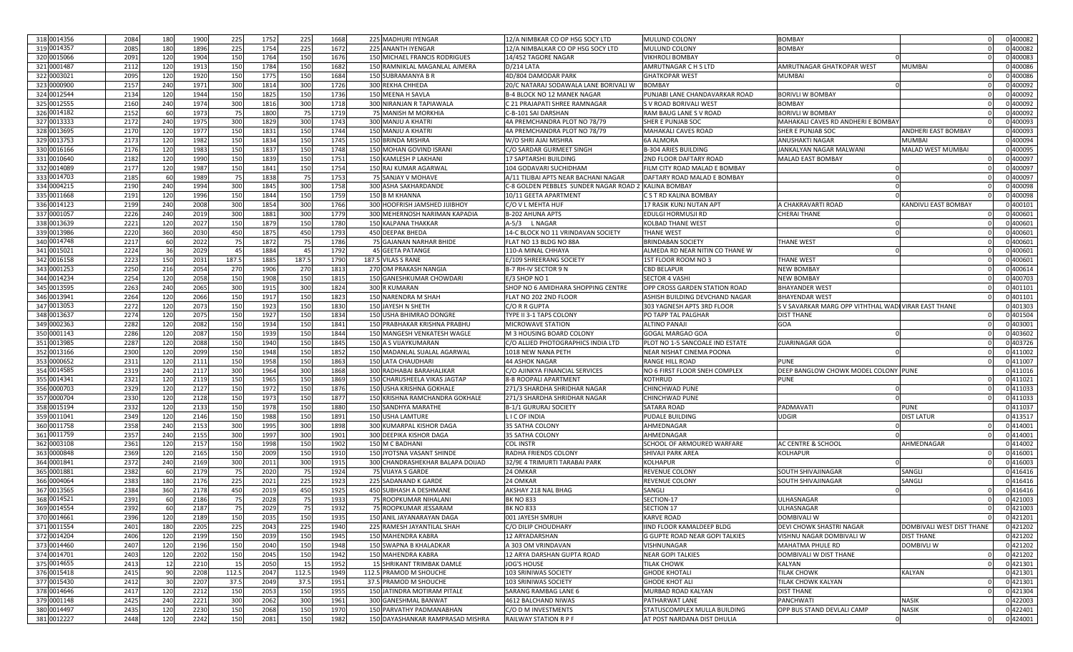| 318 0014356 | 2084 | 180             | 1900 | 225        | 1752 | 225   | 1668 |      | 225 MADHURI IYENGAR              | 12/A NIMBKAR CO OP HSG SOCY LTD        | MULUND COLONY                    | <b>BOMBAY</b>                                        |                           | 0400082  |  |
|-------------|------|-----------------|------|------------|------|-------|------|------|----------------------------------|----------------------------------------|----------------------------------|------------------------------------------------------|---------------------------|----------|--|
| 319 0014357 | 2085 | 180             | 1896 | 225        | 1754 | 225   | 1672 |      | 225 ANANTH IYENGAR               | 12/A NIMBALKAR CO OP HSG SOCY LTD      | <b>MULUND COLONY</b>             | <b>BOMBAY</b>                                        |                           | 1400082  |  |
| 320 0015066 | 2091 | 120             | 1904 | 150        | 1764 | 150   | 1676 |      | 150 MICHAEL FRANCIS RODRIGUES    | 14/452 TAGORE NAGAR                    | VIKHROLI BOMBAY                  |                                                      |                           | 0 400083 |  |
| 321 0001487 | 2112 | 12 <sub>C</sub> | 1913 | 150        | 1784 | 150   | 1682 |      | 150 RAMNIKLAL MAGANLAL AJMERA    | D/214 LATA                             | AMRUTNAGAR C H S LTD             | AMRUTNAGAR GHATKOPAR WEST                            | MUMBAI                    | 0 400086 |  |
| 322 0003021 | 2095 | 12C             | 1920 | 150        | 1775 | 150   | 1684 |      | 150 SUBRAMANYA B R               | 4D/804 DAMODAR PARK                    | <b>GHATKOPAR WEST</b>            | <b>MUMBAI</b>                                        |                           | 1400086  |  |
| 323 0000900 | 2157 | 240             | 1971 | 300        | 1814 | 300   | 1726 |      | 300 REKHA CHHEDA                 | 20/C NATARAJ SODAWALA LANE BORIVALI W  | <b>BOMBAY</b>                    |                                                      |                           | 0400092  |  |
| 324 0012544 | 2134 | 12C             | 1944 | 150        | 1825 | 150   | 1736 |      | 150 MEENA H SAVLA                | <b>B-4 BLOCK NO 12 MANEK NAGAR</b>     | PUNJABI LANE CHANDAVARKAR ROAD   | <b>BORIVLI W BOMBAY</b>                              |                           | 0400092  |  |
| 325 0012555 | 2160 | 240             |      | 300        |      | 300   |      |      | 300 NIRANJAN R TAPIAWALA         |                                        |                                  | <b>BOMBAY</b>                                        |                           | 0 400092 |  |
|             |      |                 | 1974 |            | 1816 |       | 1718 |      |                                  | C 21 PRAJAPATI SHREE RAMNAGAR          | S V ROAD BORIVALI WEST           |                                                      |                           |          |  |
| 326 0014182 | 2152 | 60              | 1973 | 75         | 1800 | 75    | 1719 |      | 75 MANISH M MORKHIA              | C-B-101 SAI DARSHAN                    | RAM BAUG LANE S V ROAD           | <b>BORIVLI W BOMBAY</b>                              |                           | 0 400092 |  |
| 327 0013333 | 2172 | 240             | 1975 | 300        | 1829 | 300   | 1743 |      | 300 MANJU A KHATR                | 4A PREMCHANDRA PLOT NO 78/79           | SHER E PUNJAB SOC                | MAHAKALI CAVES RD ANDHERI E BOMBAY                   |                           | 1400093  |  |
| 328 0013695 | 2170 | 120             | 1977 | 150        | 1831 | 150   | 1744 |      | 150 MANJU A KHATRI               | 4A PREMCHANDRA PLOT NO 78/79           | <b>MAHAKALI CAVES ROAD</b>       | SHER E PUNJAB SOC                                    | ANDHERI EAST BOMBAY       | 0 400093 |  |
| 329 0013753 | 2173 | 12C             | 1982 | 150        | 1834 | 150   | 1745 |      | 150 BRINDA MISHRA                | W/O SHRI AJAI MISHRA                   | <b>6A ALMORA</b>                 | ANUSHAKTI NAGAR                                      | MUMBAI                    | 0 400094 |  |
| 330 0016166 | 2176 | 12 <sub>C</sub> | 1983 | 150        | 1837 | 150   | 1748 |      | 150 MOHAN GOVIND ISRANI          | C/O SARDAR GURMEET SINGH               | <b>B-304 ARIES BUILDING</b>      | JANKALYAN NAGAR MALWANI                              | MALAD WEST MUMBAI         | 0 400095 |  |
| 331 0010640 | 2182 | 12C             | 1990 | 150        | 1839 | 150   | 1751 |      | 150 KAMLESH P LAKHANI            | 17 SAPTARSHI BUILDING                  | 2ND FLOOR DAFTARY ROAD           | MALAD EAST BOMBAY                                    |                           | 1400097  |  |
| 332 0014089 | 2177 | 12C             | 1987 | 150        | 1841 | 150   | 1754 |      | 150 RAJ KUMAR AGARWAI            | 104 GODAVARI SUCHIDHAM                 | FILM CITY ROAD MALAD E BOMBAY    |                                                      |                           | 0400097  |  |
| 333 0014703 | 2185 | 60              | 1989 | 75         | 1838 | 75    | 1753 |      | 75 SANJAY V MOHAVE               | A/11 TILIBAI APTS NEAR BACHANI NAGAR   | DAFTARY ROAD MALAD E BOMBAY      |                                                      |                           | 0 400097 |  |
| 334 0004215 | 2190 | 240             | 1994 | 300        | 1845 | 300   | 1758 |      | 300 ASHA SAKHARDANDE             | C-8 GOLDEN PEBBLES SUNDER NAGAR ROAD 2 | <b>KALINA BOMBAY</b>             |                                                      |                           | 0 400098 |  |
| 335 0011668 | 219  | 120             | 1996 | 150        | 1844 | 150   | 1759 |      | 150 B M KHANNA                   | 10/11 GEETA APARTMENT                  | C S T RD KALINA BOMBAY           |                                                      |                           | 1400098  |  |
| 336 0014123 | 2199 | 240             | 2008 | 300        | 1854 | 300   | 1766 |      | 300 HOOFRISH JAMSHED JIJIBHOY    | C/O V L MEHTA HUP                      | 17 RASIK KUNJ NUTAN APT          | A CHAKRAVARTI ROAD                                   | KANDIVLI EAST BOMBAY      | 400101   |  |
| 337 0001057 | 2226 | 240             | 2019 | 300        | 1881 | 300   | 1779 |      | 300 MEHERNOSH NARIMAN KAPADIA    | <b>B-202 AHUNA APTS</b>                | EDULGI HORMUSJI RD               | CHERAI THANE                                         |                           | 1400601  |  |
| 338 0013639 | 2221 | 12C             | 2027 | 150        | 1879 | 150   | 1780 |      | 150 KALPANA THAKKAR              | A-5/3 LNAGAR                           | <b>KOLBAD THANE WEST</b>         |                                                      |                           | 0 400601 |  |
| 339 0013986 | 2220 | 360             | 2030 | 450        | 1875 | 450   | 1793 |      | 450 DEEPAK BHEDA                 | 14-C BLOCK NO 11 VRINDAVAN SOCIETY     | <b>THANE WEST</b>                |                                                      |                           | 0 400601 |  |
| 340 0014748 | 2217 | 60              | 2022 | 75         | 1872 | 75    | 1786 |      | 75 GAJANAN NARHAR BHIDE          | FLAT NO 13 BLDG NO 88A                 | <b>BRINDABAN SOCIETY</b>         | <b>THANE WEST</b>                                    |                           | 0 400601 |  |
| 341 0015021 | 2224 | 36              | 2029 | -45        | 1884 | - 45  | 1792 |      | 45 GEETA PATANGE                 | 110-A MINAL CHHAYA                     | ALMEDA RD NEAR NITIN CO THANE W  |                                                      |                           | 0 400601 |  |
| 342 0016158 | 2223 | 150             | 2031 | 187.5      | 1885 | 187.5 | 1790 |      | 187.5 VILAS S RANE               | E/109 SHREERANG SOCIETY                | 1ST FLOOR ROOM NO 3              | THANE WEST                                           |                           | 0 400601 |  |
|             | 2250 | 216             | 2054 | 270        | 1906 | 270   | 1813 | 270  | OM PRAKASH NANGIA                |                                        | <b>CBD BELAPUR</b>               | <b>NEW BOMBAY</b>                                    |                           | 1400614  |  |
| 343 0001253 |      |                 |      |            |      |       |      |      |                                  | B-7 RH-IV SECTOR 9 N                   |                                  |                                                      |                           |          |  |
| 344 0014234 | 2254 | 120             | 2058 | 150        | 1908 | 150   | 1815 |      | 150 GANESHKUMAR CHOWDARI         | E/3 SHOP NO 1                          | <b>SECTOR 4 VASHI</b>            | <b>NEW BOMBAY</b>                                    |                           | 400703   |  |
| 345 0013595 | 2263 | 240             | 2065 | 300        | 1915 | 300   | 1824 | 300  | <b>KUMARAN</b>                   | SHOP NO 6 AMIDHARA SHOPPING CENTRE     | OPP CROSS GARDEN STATION ROAD    | <b>BHAYANDER WES</b>                                 |                           | 1401101  |  |
| 346 0013941 | 2264 | 12 <sub>C</sub> | 2066 | 150        | 1917 | 150   | 1823 | 150  | <b>JARENDRA M SHAH</b>           | FLAT NO 202 2ND FLOOR                  | ASHISH BUILDING DEVCHAND NAGAR   | <b>BHAYENDAR WEST</b>                                |                           | 0 401101 |  |
| 347 0013053 | 2272 | 12C             | 2073 | 150        | 1923 | 150   | 1830 |      | 150 JAYESH N SHETH               | C/O R R GUPTA                          | 303 YAGNESH APTS 3RD FLOOR       | S V SAVARKAR MARG OPP VITHTHAL WADI VIRAR EAST THANE |                           | 0 401303 |  |
| 348 0013637 | 2274 | 12C             | 2075 | 150        | 1927 | 150   | 1834 | 150  | JSHA BHIMRAO DONGRE              | TYPE II 3-1 TAPS COLONY                | PO TAPP TAL PALGHAR              | <b>DIST THANE</b>                                    |                           | 0 401504 |  |
| 349 0002363 | 2282 | 120             | 2082 | 150        | 1934 | 150   | 1841 |      | 150 PRABHAKAR KRISHNA PRABHU     | <b>MICROWAVE STATION</b>               | <b>ALTINO PANAJI</b>             | GOA                                                  |                           | 0 403001 |  |
| 350 0001143 | 2286 | 120             | 2087 | 150        | 1939 | 150   | 1844 |      | 150 MANGESH VENKATESH WAGLE      | M 3 HOUSING BOARD COLONY               | <b>GOGAL MARGAO GOA</b>          |                                                      |                           | 0 403602 |  |
| 351 0013985 | 2287 | 120             | 2088 | 150        | 1940 | 150   | 1845 |      | 150 A S VIJAYKUMARAN             | C/O ALLIED PHOTOGRAPHICS INDIA LTD     | PLOT NO 1-5 SANCOALE IND ESTATE  | <b>ZUARINAGAR GOA</b>                                |                           | 0 403726 |  |
| 352 0013166 | 2300 | 12C             | 2099 | 150        | 1948 | 150   | 1852 |      | 150 MADANLAL SUALAL AGARWAL      | 1018 NEW NANA PETH                     | NEAR NISHAT CINEMA POONA         |                                                      |                           | 0411002  |  |
| 353 0000652 | 2311 | 12C             | 2111 | 150        | 1958 | 150   | 1863 |      | <b>150 LATA CHAUDHARI</b>        | 44 ASHOK NAGAR                         | <b>RANGE HILL ROAD</b>           | <b>PUNE</b>                                          |                           | 0411007  |  |
| 354 0014585 | 2319 | 240             | 2117 | 300        | 1964 | 300   | 1868 |      | 300 RADHABAI BARAHALIKAR         | C/O AJINKYA FINANCIAL SERVICES         | NO 6 FIRST FLOOR SNEH COMPLEX    | DEEP BANGLOW CHOWK MODEL COLONY PUNE                 |                           | 0 411016 |  |
| 355 0014341 | 2321 | 12C             | 2119 | 150        | 1965 | 150   | 1869 |      | 150 CHARUSHEELA VIKAS JAGTAP     | 8-B ROOPALI APARTMENT                  | <b>KOTHRUD</b>                   | <b>PUNE</b>                                          |                           | 0411021  |  |
| 356 0000703 | 2329 | 12C             | 2127 | 150        | 1972 | 150   | 1876 | 150  | JSHA KRISHNA GOKHALE             | 271/3 SHARDHA SHRIDHAR NAGAR           | CHINCHWAD PUNE                   |                                                      |                           | 0 411033 |  |
| 357 0000704 | 2330 | 120             | 2128 | 150        | 1973 | 150   | 1877 |      | 150 KRISHNA RAMCHANDRA GOKHALE   | 271/3 SHARDHA SHRIDHAR NAGAR           | <b>CHINCHWAD PUNE</b>            |                                                      |                           | 0 411033 |  |
| 358 0015194 | 2332 | 12C             | 2133 | 150        | 1978 | 150   | 1880 |      | 150 SANDHYA MARATHE              | B-1/1 GURURAJ SOCIETY                  | SATARA ROAD                      | PADMAVATI                                            | PUNE                      | 0 411037 |  |
| 359 0011041 | 2349 | 12C             | 2146 | 150        | 1988 | 150   | 1891 | 150  | JSHA LAMTURE                     | LIC OF INDIA                           | <b>PUDALE BUILDING</b>           | UDGIR                                                | <b>DIST LATUR</b>         | 0413517  |  |
| 360 0011758 | 2358 | 240             | 2153 | 300        | 1995 | 300   | 1898 |      | 300 KUMARPAL KISHOR DAGA         | 35 SATHA COLONY                        | AHMEDNAGAR                       |                                                      |                           | 0414001  |  |
|             | 2357 | 240             |      |            |      |       |      |      |                                  |                                        |                                  |                                                      |                           | 0414001  |  |
| 361 0011759 | 2361 | 12C             | 2155 | 300<br>150 | 1997 | 300   | 1901 |      | 300 DEEPIKA KISHOR DAGA          | 35 SATHA COLONY                        | AHMEDNAGAR                       |                                                      |                           | 0 414002 |  |
| 362 0003108 |      |                 | 2157 |            | 1998 | 150   | 1902 |      | 150 M C BADHANI                  | <b>COL INSTR</b>                       | SCHOOL OF ARMOURED WARFARE       | AC CENTRE & SCHOOL                                   | AHMEDNAGAR                |          |  |
| 363 0000848 | 2369 | 12C             | 2165 | 150        | 2009 | 150   | 1910 | 150  | YOTSNA VASANT SHINDE             | RADHA FRIENDS COLONY                   | SHIVAJI PARK AREA                | <b>KOLHAPUR</b>                                      |                           | 0 416001 |  |
| 364 0001841 | 2372 | 240             | 2169 | 300        | 2011 | 300   | 1915 |      | 300 CHANDRASHEKHAR BALAPA DOIJAD | 32/9E 4 TRIMURTI TARABAI PARK          | <b>KOLHAPUR</b>                  |                                                      |                           | 0416003  |  |
| 365 0001881 | 2382 | 60              | 2179 | 75         | 2020 | 75    | 1924 |      | 75 VIJAYA S GARDE                | 24 OMKAR                               | REVENUE COLONY                   | SOUTH SHIVAJINAGAR                                   | SANGLI                    | 0416416  |  |
| 366 0004064 | 238  | 180             | 2176 | 225        | 2021 | 225   | 1923 |      | 225 SADANAND K GARDE             | 24 OMKAR                               | <b>REVENUE COLONY</b>            | SOUTH SHIVAJINAGAR                                   | SANGLI                    | 0416416  |  |
| 367 0013565 | 2384 | 360             | 2178 | 450        | 2019 | 450   | 1925 |      | 450 SUBHASH A DESHMANE           | AKSHAY 218 NAL BHAG                    | SANGLI                           |                                                      |                           | 0416416  |  |
| 368 0014521 | 2391 | 60              | 2186 | - 75       | 2028 | 75    | 1933 |      | 75 ROOPKUMAR NIHALANI            | <b>BK NO 833</b>                       | SECTION-17                       | ULHASNAGAR                                           |                           | 0421003  |  |
| 369 0014554 | 2392 | 60              | 2187 | 75         | 2029 | 75    | 1932 |      | 75 ROOPKUMAR JESSARAM            | <b>BK NO 833</b>                       | SECTION 17                       | ULHASNAGAR                                           |                           | 0421003  |  |
| 370 0014661 | 2396 | 120             | 2189 | 150        | 2035 | 150   | 1935 |      | 150 ANIL JAYANARAYAN DAGA        | 001 JAYESH SMRUH                       | <b>KARVE ROAD</b>                | DOMBIVALI W                                          |                           | 0 421201 |  |
| 371 0011554 | 2401 | 180             | 2205 | 225        | 2043 | 225   | 1940 |      | 225 RAMESH JAYANTILAL SHAH       | C/O DILIP CHOUDHARY                    | <b>IIND FLOOR KAMALDEEP BLDG</b> | <b>DEVI CHOWK SHASTRI NAGAR</b>                      | DOMBIVALI WEST DIST THANE | 0 421202 |  |
| 372 0014204 | 2406 | 120             | 2199 | 150        | 2039 | 150   | 1945 |      | 150 MAHENDRA KABRA               | 12 ARYADARSHAN                         | G GUPTE ROAD NEAR GOPI TALKIES   | VISHNU NAGAR DOMBIVALI W                             | <b>DIST THANE</b>         | 0 421202 |  |
| 373 0014460 | 2407 | 120             | 2196 | 150        | 2040 | 150   | 1948 |      | 150 SWAPNA B KHALADKAR           | A 303 OM VRINDAVAN                     | VISHNUNAGAR                      | <b>MAHATMA PHULE RD</b>                              | <b>DOMBIVLI W</b>         | 0 421202 |  |
| 374 0014701 | 2403 | 120             | 2202 | 150        | 2045 | 150   | 1942 |      | 150 MAHENDRA KABRA               | 12 ARYA DARSHAN GUPTA ROAD             | <b>NEAR GOPI TALKIES</b>         | DOMBIVALI W DIST THANE                               |                           | 0 421202 |  |
| 375 0014655 | 2413 | 12              | 2210 | - 15       | 2050 | 15    | 1952 |      | 15 SHRIKANT TRIMBAK DAMLE        | JOG'S HOUSE                            | <b>TILAK CHOWK</b>               | KALYAN                                               |                           | 0421301  |  |
| 376 0015418 | 2415 | 90              | 2208 | 112.5      | 2047 | 112.5 | 1949 |      | 112.5 PRAMOD M SHOUCHE           | 103 SRINIWAS SOCIETY                   | <b>GHODE KHOTALI</b>             | <b>TILAK CHOWK</b>                                   | KALYAN                    | 0 421301 |  |
| 377 0015430 | 2412 | 30              | 2207 | 37.5       | 2049 | 37.5  | 1951 | 37.5 | PRAMOD M SHOUCHE                 | 103 SRINIWAS SOCIETY                   | <b>GHODE KHOT ALI</b>            | TILAK CHOWK KALYAN                                   |                           | 0421301  |  |
| 378 0014646 | 2417 | 120             | 2212 | 150        | 2053 | 150   | 1955 |      | 150 JATINDRA MOTIRAM PITALE      | SARANG RAMBAG LANE 6                   | MURBAD ROAD KALYAN               | <b>DIST THANE</b>                                    |                           | 0 421304 |  |
| 379 0001148 | 2425 | 240             | 2221 | 300        | 2062 | 300   | 1961 | 300  | <b>GANESHMAL BANWAT</b>          | 4612 BALCHAND NIWAS                    | PATHARWAT LANE                   | PANCHWATI                                            | <b>NASIK</b>              | 0422003  |  |
| 380 0014497 |      |                 | 2230 |            |      | 150   | 1970 |      | 150 PARVATHY PADMANABHAN         | C/O D M INVESTMENTS                    |                                  | OPP BUS STAND DEVLALI CAMP                           | <b>NASIK</b>              | 0 422401 |  |
|             | 2435 | 120             |      | 150        | 2068 |       |      |      |                                  |                                        | STATUSCOMPLEX MULLA BUILDING     |                                                      |                           |          |  |
| 381 0012227 | 2448 | 120             | 2242 | 150        | 2081 | 150   | 1982 |      | 150 DAYASHANKAR RAMPRASAD MISHRA | RAILWAY STATION R P F                  | AT POST NARDANA DIST DHULIA      | $\Omega$                                             | $\Omega$                  | 0424001  |  |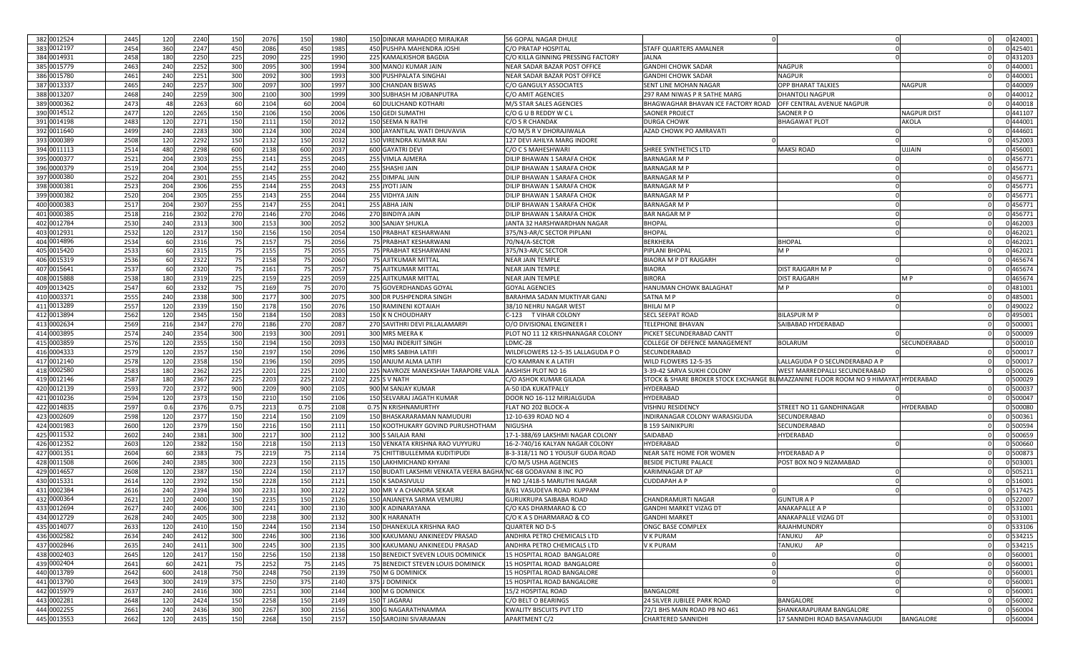| 382 0012524 | 2445 | 120 | 2240 | 150  | 2076 | 150  | 1980 | 150 DINKAR MAHADEO MIRAJKAR                                    | 56 GOPAL NAGAR DHULE                                   |                                          |                                  |                    | 0 424001 |
|-------------|------|-----|------|------|------|------|------|----------------------------------------------------------------|--------------------------------------------------------|------------------------------------------|----------------------------------|--------------------|----------|
| 383 0012197 | 2454 | 360 | 2247 | 450  | 2086 | 450  | 1985 | 450 PUSHPA MAHENDRA JOSHI                                      | C/O PRATAP HOSPITAL                                    | STAFF QUARTERS AMALNER                   |                                  |                    | 0425401  |
| 384 0014931 | 2458 | 180 | 2250 | 225  | 2090 | 225  | 1990 | 225 KAMALKISHOR BAGDIA                                         | C/O KILLA GINNING PRESSING FACTORY                     | JALNA                                    |                                  |                    | 0 431203 |
| 385 0015779 | 2463 | 240 | 2252 | 300  | 2095 | 300  | 1994 | 300 MANOJ KUMAR JAIN                                           | NEAR SADAR BAZAR POST OFFICE                           | <b>GANDHI CHOWK SADAR</b>                | <b>NAGPUR</b>                    |                    | 0 440001 |
| 386 0015780 | 2461 | 240 | 2251 | 300  | 2092 | 300  | 1993 | 300 PUSHPALATA SINGHA                                          | NEAR SADAR BAZAR POST OFFICE                           | <b>GANDHI CHOWK SADAR</b>                | NAGPUR                           |                    | 0 440001 |
| 387 0013337 | 2465 | 240 | 2257 | 300  | 2097 | 300  | 1997 | 300<br><b>CHANDAN BISWAS</b>                                   | C/O GANGULY ASSOCIATES                                 | SENT LINE MOHAN NAGAR                    | OPP BHARAT TALKIES               | <b>NAGPUR</b>      | 0 440009 |
| 388 0013207 | 2468 | 240 | 2259 | 300  | 2100 | 300  | 1999 | 300 SUBHASH M JOBANPUTRA                                       | C/O AMIT AGENCIES                                      | 297 RAM NIWAS P R SATHE MARG             | DHANTOLI NAGPUR                  |                    | 0 440012 |
| 389 0000362 | 2473 | 48  | 2263 | 60   | 2104 | 60   | 2004 | 60 DULICHAND KOTHARI                                           | M/S STAR SALES AGENCIES                                | BHAGWAGHAR BHAVAN ICE FACTORY ROAD       | OFF CENTRAL AVENUE NAGPUR        |                    | 0 440018 |
| 390 0014512 | 2477 | 120 | 2265 | 150  | 2106 | 150  | 2006 | 150 GEDI SUMATH                                                | C/O G U B REDDY W C L                                  | SAONER PROJECT                           | SAONER PO                        | <b>NAGPUR DIST</b> | 0 441107 |
| 391 0014198 | 2483 | 120 | 2271 | 150  | 2111 | 150  | 2012 | 150 SEEMA N RATHI                                              | C/O S R CHANDAK                                        | <b>DURGA CHOWK</b>                       | <b>BHAGAWAT PLOT</b>             | AKOLA              | 0 444001 |
| 392 0011640 | 2499 | 240 | 2283 | 300  | 2124 | 300  | 2024 | 300 JAYANTILAL WATI DHUVAVIA                                   | C/O M/S R V DHORAJIWALA                                | AZAD CHOWK PO AMRAVATI                   |                                  |                    | 0 444601 |
| 393 0000389 | 2508 | 120 | 2292 | 150  | 2132 | 150  | 2032 | 150 VIRENDRA KUMAR RAI                                         | 127 DEVI AHILYA MARG INDORE                            |                                          |                                  |                    | 0 452003 |
| 394 0011113 | 2514 | 480 | 2298 | 600  | 2138 | 600  | 2037 | 600 GAYATRI DEVI                                               | C/O C S MAHESHWARI                                     | SHREE SYNTHETICS LTD                     | MAKSI ROAD                       | UJJAIN             | 0 456001 |
| 395 0000377 | 2521 | 204 | 2303 | 255  | 2141 | 255  | 2045 | 255<br><b>VIMLA AJMERA</b>                                     | DILIP BHAWAN 1 SARAFA CHOK                             | <b>BARNAGAR M F</b>                      |                                  |                    | 0 456771 |
| 396 0000379 | 2519 | 204 | 2304 | 255  | 2142 | 255  | 2040 | 255<br><b>SHASHI JAIN</b>                                      | DILIP BHAWAN 1 SARAFA CHOK                             | <b>BARNAGAR M P</b>                      |                                  |                    | 0 456771 |
| 397 0000380 | 2522 | 204 | 2301 | 255  | 2145 | 255  | 2042 | 255 DIMPAL JAIN                                                | DILIP BHAWAN 1 SARAFA CHOK                             | <b>BARNAGAR M P</b>                      |                                  |                    | 0 456771 |
| 398 0000381 | 2523 | 204 | 2306 | 255  | 2144 | 255  | 2043 | YOTI JAIN<br>255                                               | DILIP BHAWAN 1 SARAFA CHOK                             | <b>BARNAGAR M P</b>                      |                                  |                    | 0 456771 |
| 399 0000382 | 2520 | 204 | 2305 | 255  | 2143 | 255  | 2044 | 255<br><b>VIDHYA JAIN</b>                                      | DILIP BHAWAN 1 SARAFA CHOK                             | <b>BARNAGAR M F</b>                      |                                  |                    | 0 456771 |
| 400 0000383 | 2517 | 204 | 2307 | 255  | 2147 | 255  | 2041 | 255 ABHA JAIN                                                  | DILIP BHAWAN 1 SARAFA CHOK                             | <b>BARNAGAR M P</b>                      |                                  |                    | 0 456771 |
| 401 0000385 | 2518 | 216 | 2302 | 270  | 2146 | 270  | 2046 | 270 BINDIYA JAIN                                               | DILIP BHAWAN 1 SARAFA CHOK                             | BAR NAGAR M P                            |                                  |                    | 0 456771 |
| 402 0012784 | 2530 | 240 | 2313 | 300  | 2153 | 300  | 2052 | 300 SANJAY SHUKLA                                              | JANTA 32 HARSHWARDHAN NAGAR                            | <b>BHOPAL</b>                            |                                  |                    | 0 462003 |
| 403 0012931 | 2532 | 120 | 2317 | 150  | 2156 | 150  | 2054 | 150 PRABHAT KESHARWANI                                         | 375/N3-AR/C SECTOR PIPLANI                             | <b>BHOPAL</b>                            |                                  |                    | 0 462021 |
| 404 0014896 | 2534 | 60  | 2316 | 75   | 2157 |      | 2056 |                                                                | 70/N4/A-SECTOR                                         | <b>BERKHERA</b>                          |                                  |                    | 0 462021 |
| 405 0015420 | 2533 | 60  |      | 75   | 2155 | 75   |      | 75 PRABHAT KESHARWANI<br>75 PRABHAT KESHARWANI                 |                                                        | PIPLANI BHOPAL                           | BHOPAI<br>M P                    |                    | 0 462021 |
|             |      |     | 2315 |      |      | - 75 | 2055 |                                                                | 375/N3-AR/C SECTOR                                     |                                          |                                  |                    |          |
| 406 0015319 | 2536 | 60  | 2322 | 75   | 2158 | 75   | 2060 | 75 AJITKUMAR MITTAI                                            | <b>NEAR JAIN TEMPLE</b>                                | <b>BIAORA M P DT RAJGARH</b>             |                                  |                    | 0 465674 |
| 407 0015641 | 2537 | 60  | 2320 | 75   | 2161 | 75   | 2057 | 75 AJITKUMAR MITTAI                                            | <b>NEAR JAIN TEMPLE</b>                                | <b>BIAORA</b>                            | DIST RAJGARH M P                 |                    | 0 465674 |
| 408 0015888 | 2538 | 180 | 2319 | 225  | 2159 | 225  | 2059 | 225 AJITKUMAR MITTAL                                           | <b>NEAR JAIN TEMPLE</b>                                | <b>BIRORA</b>                            | DIST RAJGARF                     | M P                | 0465674  |
| 409 0013425 | 2547 | 60  | 2332 | 75   | 2169 | - 75 | 2070 | 75 GOVERDHANDAS GOYAL                                          | <b>GOYAL AGENCIES</b>                                  | HANUMAN CHOWK BALAGHAT                   |                                  |                    | 0 481001 |
| 410 0003371 | 2555 | 240 | 2338 | 300  | 2177 | 300  | 2075 | 300 DR PUSHPENDRA SINGH                                        | BARAHMA SADAN MUKTIYAR GANJ                            | SATNA M F                                |                                  |                    | 0 485001 |
| 411 0013289 | 2557 | 120 | 2339 | 150  | 2178 | 150  | 2076 | <b>150 RAMINENI KOTAIAH</b>                                    | 38/10 NEHRU NAGAR WEST                                 | <b>BHILAI MP</b>                         |                                  |                    | 0 490022 |
| 412 0013894 | 2562 | 120 | 2345 | 150  | 2184 | 150  | 2083 | 150 K N CHOUDHARY                                              | C-123 T VIHAR COLONY                                   | <b>SECL SEEPAT ROAD</b>                  | BILASPUR M P                     |                    | 0 495001 |
| 413 0002634 | 2569 | 216 | 2347 | 270  | 2186 | 270  | 2087 | 270 SAVITHRI DEVI PILLALAMARPI                                 | O/O DIVISIONAL ENGINEER                                | <b>TELEPHONE BHAVAN</b>                  | SAIBABAD HYDERABAD               |                    | 0 50000  |
| 414 0003895 | 2574 | 240 | 2354 | 300  | 2193 | 300  | 2091 | 300 MRS MEERA K                                                | PLOT NO 11 12 KRISHNANAGAR COLONY                      | PICKET SECUNDERABAD CANTT                |                                  |                    | 0 500009 |
| 415 0003859 | 2576 | 120 | 2355 | 150  | 2194 | 150  | 2093 | 150 MAJ INDERJIT SINGH                                         | LDMC-28                                                | COLLEGE OF DEFENCE MANAGEMENT            | BOLARUM                          | SECUNDERABAD       | 0 500010 |
| 416 0004333 | 2579 | 120 | 2357 | 150  | 2197 | 150  | 2096 | 150 MRS SABIHA LATIFI                                          | WILDFLOWERS 12-5-35 LALLAGUDA PO                       | SECUNDERABAD                             |                                  |                    | 0 500017 |
| 417 0012140 | 2578 | 120 | 2358 | 150  | 2196 | 150  | 2095 | 150 ANJUM ALMA LATIFI                                          | C/O KAMRAN K A LATIFI                                  | WILD FLOWERS 12-5-35                     | LALLAGUDA P O SECUNDERABAD A P   |                    | 0 500017 |
| 418 0002580 | 2583 | 180 | 2362 | 225  | 2201 | 225  | 2100 | 225 NAVROZE MANEKSHAH TARAPORE VALA                            | AASHISH PLOT NO 16                                     | 3-39-42 SARVA SUKHI COLONY               | WEST MARREDPALLI SECUNDERABAD    |                    | 0 500026 |
| 419 0012146 | 2587 | 180 | 2367 | 225  | 2203 | 225  | 2102 | 225 S V NATH                                                   | C/O ASHOK KUMAR GILADA                                 | STOCK & SHARE BROKER STOCK EXCHANGE B    | MAZZANINE FLOOR ROOM NO 9 HIMAYA | <b>HYDERABAD</b>   | 0 500029 |
| 420 0012139 | 2593 | 720 | 2372 | 900  | 2209 | 900  | 2105 | 900 M SANJAY KUMAR                                             | A-50 IDA KUKATPALLY                                    | HYDERABAD                                |                                  |                    | 0 500037 |
| 421 0010236 | 2594 | 120 | 2373 | 150  | 2210 | 150  | 2106 | 150 SELVARAJ JAGATH KUMAR                                      | DOOR NO 16-112 MIRJALGUDA                              | HYDERABAD                                |                                  |                    | 0 500047 |
| 422 0014835 | 2597 | 0.6 | 2376 | 0.75 | 2213 | 0.75 | 2108 | 0.75 N KRISHNAMURTHY                                           | FLAT NO 202 BLOCK-A                                    | VISHNU RESIDENCY                         | STREET NO 11 GANDHINAGAR         | HYDERABAD          | 0 500080 |
| 423 0002609 | 2598 | 120 | 2377 | 150  | 2214 | 150  | 2109 | 150 BHASKARARAMAN NAMUDURI                                     | 12-10-639 ROAD NO 4                                    | INDIRANAGAR COLONY WARASIGUDA            | SECUNDERABAD                     |                    | 0 500361 |
| 424 0001983 | 2600 | 120 | 2379 | 150  | 2216 | 150  | 2111 | 150 KOOTHUKARY GOVIND PURUSHOTHAM                              | <b>NIGUSHA</b>                                         | <b>B 159 SAINIKPURI</b>                  | SECUNDERABAD                     |                    | 0 500594 |
| 425 0011532 | 2602 | 240 | 2381 | 300  | 2217 | 300  | 2112 | 300 S SAILAJA RANI                                             | 17-1-388/69 LAKSHMI NAGAR COLONY                       | SAIDABAD                                 | <b>IYDERABAD</b>                 |                    | 0 500659 |
| 426 0012352 | 2603 | 120 | 2382 | 150  | 2218 | 150  | 2113 | 150 VENKATA KRISHNA RAO VUYYURU                                | 16-2-740/16 KALYAN NAGAR COLONY                        | HYDERABAD                                |                                  |                    | 0 500660 |
| 427 0001351 | 2604 | 60  | 2383 | 75   | 2219 | - 75 | 2114 | 75 CHITTIBULLEMMA KUDITIPUDI                                   | 8-3-318/11 NO 1 YOUSUF GUDA ROAD                       | NEAR SATE HOME FOR WOMEN                 | HYDERABAD A P                    |                    | 0 500873 |
| 428 0011508 | 2606 | 240 | 2385 | 300  | 2223 | 150  | 2115 | AKHMICHAND KHYANI<br>150 L                                     | C/O M/S USHA AGENCIES                                  | <b>BESIDE PICTURE PALACE</b>             | POST BOX NO 9 NIZAMABAD          |                    | 0 503001 |
| 429 0014657 | 2608 | 120 | 2387 | 150  | 2224 | 150  | 2117 | 150 BUDATI LAKSHMI VENKATA VEERA BAGHAINC-68 GODAVANI 8 INC PO |                                                        | <b>KARIMNAGAR DT AP</b>                  |                                  |                    | 0 505211 |
| 430 0015331 | 2614 | 120 | 2392 | 150  | 2228 | 150  | 2121 | <b>150 K SADASIVULU</b>                                        | H NO 1/418-5 MARUTHI NAGAR                             | <b>CUDDAPAH A P</b>                      |                                  |                    | 0 516001 |
| 431 0002384 | 2616 | 240 | 2394 | 300  | 2231 | 300  | 2122 | 300 MR V A CHANDRA SEKAR                                       | 8/61 VASUDEVA ROAD KUPPAM                              |                                          |                                  |                    | 0 517425 |
| 432 0000364 | 2621 | 120 | 2400 | 150  | 2235 | 150  | 2126 | 150 ANJANEYA SARMA VEMURU                                      | <b>GURUKRUPA SAIBABA ROAD</b>                          | CHANDRAMURTI NAGAR                       | GUNTUR A P                       |                    | 0 522007 |
| 433 0012694 | 2627 | 240 | 2406 | 300  | 2241 | 300  | 2130 | 300 K ADINARAYANA                                              | C/O KAS DHARMARAO & CO                                 | <b>GANDHI MARKET VIZAG DT</b>            | ANAKAPALLE A P                   |                    | 0 531001 |
| 434 0012729 | 2628 | 240 | 2405 | 300  | 2238 | 300  | 2132 | 300 K HARANATH                                                 | C/O K A S DHARMARAO & CO                               | <b>GANDHI MARKET</b>                     | ANAKAPALLE VIZAG DT              |                    | 0 531001 |
| 435 0014077 | 2633 | 120 | 2410 | 150  | 2244 | 150  | 2134 | 150 L<br><b>DHANEKULA KRISHNA RAO</b>                          | QUARTER NO D-5                                         | ONGC BASE COMPLEX                        | RAJAHMUNDRY                      |                    | 0 533106 |
| 436 0002582 | 2634 | 240 | 2412 | 300  | 2246 | 300  | 2136 | 300 KAKUMANU ANKINEEDV PRASAD                                  | ANDHRA PETRO CHEMICALS LTD                             | V K PURAM                                | TANUKU AP                        |                    | 0 534215 |
| 437 0002846 | 2635 | 240 | 2411 | 300  | 2245 | 300  | 2135 | 300 KAKUMANU ANKINEEDU PRASAD                                  | ANDHRA PETRO CHEMICALS LTD                             | V K PURAM                                | TANUKU AP                        |                    | 0 534215 |
| 438 0002403 | 2645 | 120 | 2417 | 150  | 2256 | 150  | 2138 | 150 BENEDICT SVEVEN LOUIS DOMINICK                             | 15 HOSPITAL ROAD BANGALORE                             |                                          |                                  |                    | 0 560001 |
| 439 0002404 | 2641 | 60  | 2421 | 75   | 2252 | 75   | 2145 | 75 BENEDICT STEVEN LOUIS DOMINICK                              | 15 HOSPITAL ROAD BANGALORE                             |                                          |                                  |                    | 0 560001 |
| 440 0013789 | 2642 | 600 | 2418 | 750  | 2248 | 750  | 2139 | 750 M G DOMINICK                                               | 15 HOSPITAL ROAD BANGALORE                             |                                          |                                  |                    | 0 560001 |
| 441 0013790 | 2643 | 300 | 2419 | 375  | 2250 | 375  | 2140 | 375 J DOMINICK                                                 | 15 HOSPITAL ROAD BANGALORE                             |                                          |                                  |                    | 0 560001 |
| 442 0015979 | 2637 | 240 | 2416 | 300  | 2251 | 300  | 2144 | 300 M G DOMNICK                                                |                                                        |                                          |                                  |                    | 0 560001 |
| 443 0002281 | 2648 | 120 | 2424 |      |      |      | 2149 | <b>JAGARAJ</b>                                                 | 15/2 HOSPITAL ROAD                                     | BANGALORE<br>24 SILVER JUBILEE PARK ROAD | BANGALORE                        |                    | 0 560002 |
| 444 0002255 |      | 240 |      | 150  | 2258 | 150  |      | 150<br>300 G NAGARATHNAMMA                                     | C/O BELT O BEARINGS<br><b>KWALITY BISCUITS PVT LTD</b> |                                          |                                  |                    |          |
|             | 2661 |     | 2436 | 300  | 2267 | 300  | 2156 |                                                                |                                                        | 72/1 BHS MAIN ROAD PB NO 461             | SHANKARAPURAM BANGALORI          |                    | 0 560004 |
| 445 0013553 | 2662 | 120 | 2435 | 150  | 2268 | 150  | 2157 | 150 SAROJINI SIVARAMAN                                         | <b>APARTMENT C/2</b>                                   | <b>CHARTERED SANNIDHI</b>                | 17 SANNIDHI ROAD BASAVANAGUDI    | <b>BANGALORE</b>   | 0 560004 |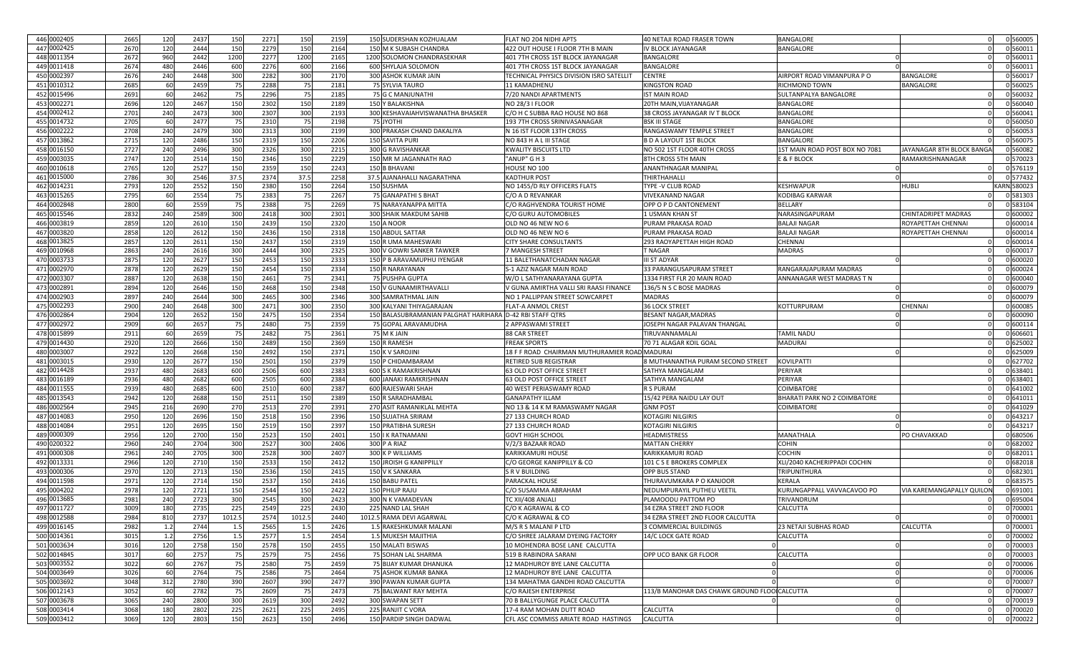| 446 0002405 | 2665 | 120 | 2437 | 150    | 2271 | 150    | 2159 | 150 SUDERSHAN KOZHUALAM                                  | FLAT NO 204 NIDHI APTS                          | 40 NETAJI ROAD FRASER TOWN                   | <b>BANGALORE</b>               |                           | 0 560005   |
|-------------|------|-----|------|--------|------|--------|------|----------------------------------------------------------|-------------------------------------------------|----------------------------------------------|--------------------------------|---------------------------|------------|
| 447 0002425 | 2670 | 120 | 2444 | 150    | 2279 | 150    | 2164 | 150 M K SUBASH CHANDRA                                   | 422 OUT HOUSE I FLOOR 7TH B MAIN                | IV BLOCK JAYANAGAR                           | 3ANGALORE                      |                           | 0 560011   |
| 448 0011354 | 2672 | 960 | 2442 | 1200   | 2277 | 1200   | 2165 | 1200 SOLOMON CHANDRASEKHAR                               | 401 7TH CROSS 1ST BLOCK JAYANAGAR               | BANGALORI                                    |                                |                           | 0 560011   |
| 449 0011418 | 2674 | 480 | 2446 | 60C    | 2276 | 600    | 2166 | 600 SHYLAJA SOLOMON                                      | 401 7TH CROSS 1ST BLOCK JAYANAGAR               | <b>BANGALORE</b>                             |                                |                           | 0 560011   |
| 450 0002397 | 2676 | 240 | 2448 | 300    | 2282 | 300    | 2170 | 300 ASHOK KUMAR JAIN                                     | <b>FECHNICAL PHYSICS DIVISION ISRO SATELLIT</b> | CENTRE                                       | AIRPORT ROAD VIMANPURA P O     | <b>BANGALORE</b>          | 0 560017   |
| 451 0010312 | 2685 | 60  | 2459 | 75     | 2288 | - 75   | 2181 | 75 SYLVIA TAURO                                          | 11 KAMADHENU                                    | <b>KINGSTON ROAD</b>                         | RICHMOND TOWN                  | <b>BANGALORE</b>          | 0 560025   |
| 452 0015496 | 2691 | 60  | 2462 | 75     | 2296 | 75     | 2185 | 75 G C MANJUNATHI                                        | 7/20 NANDI APARTMENTS                           | <b>IST MAIN ROAD</b>                         | SULTANPALYA BANGALORE          |                           | 0 560032   |
| 453 0002271 | 2696 | 120 | 2467 | 150    | 2302 | 150    | 2189 | <b>150 Y BALAKISHNA</b>                                  | <b>NO 28/3 I FLOOR</b>                          | 20TH MAIN, VIJAYANAGAR                       | BANGALORE                      |                           | 0 560040   |
| 454 0002412 | 2701 | 240 | 2473 | 300    | 2307 | 300    | 2193 | 300 KESHAVAIAHVISWANATHA BHASKER                         | C/O H C SUBBA RAO HOUSE NO 868                  | 38 CROSS JAYANAGAR IV T BLOCK                | BANGALORE                      |                           | 0 560041   |
| 455 0014732 | 2705 | 60  | 2477 | 75     | 2310 | - 75   | 2198 | YOTHI                                                    | 193 7TH CROSS SRINIVASANAGAR                    | <b>BSK III STAGE</b>                         | BANGALORI                      |                           | 0 560050   |
| 456 0002222 | 2708 | 240 | 2479 | 300    | 2313 | 300    | 2199 | 300 PRAKASH CHAND DAKALIYA                               | N 16 IST FLOOR 13TH CROSS                       | RANGASWAMY TEMPLE STREET                     | BANGALORE                      |                           | 0 560053   |
| 457 0013862 | 2715 | 120 | 2486 | 150    | 2319 | 150    | 2206 | 150 SAVITA PURI                                          | NO 843 H A L III STAGE                          | <b>B D A LAYOUT 1ST BLOCK</b>                | BANGALORI                      |                           | 0 560075   |
| 458 0016150 |      |     |      |        |      |        |      |                                                          |                                                 |                                              |                                |                           |            |
|             | 2727 | 240 | 2496 | 300    | 2326 | 300    | 2215 | 300 G RAVISHANKAR                                        | <b>KWALITY BISCUITS LTD</b>                     | NO 502 1ST FLOOR 40TH CROSS                  | 1ST MAIN ROAD POST BOX NO 7081 | JAYANAGAR 8TH BLOCK BANGA | 0 560082   |
| 459 0003035 | 2747 | 120 | 2514 | 150    | 2346 | 150    | 2229 | 150 MR M JAGANNATH RAO                                   | "ANUP" G H 3                                    | 8TH CROSS 5TH MAIN                           | E & F BLOCK                    | RAMAKRISHNANAGAR          | 0 570023   |
| 460 0010618 | 2765 | 120 | 2527 | 150    | 2359 | 150    | 2243 | 150 E<br>3 BHAVANI                                       | HOUSE NO 100                                    | ANANTHNAGAR MANIPAL                          |                                |                           | 0 576119   |
| 461 0015000 | 2786 | 30  | 2546 | 37.5   | 2374 | 37.5   | 2258 | 37.5 AJANAHALLI NAGARATHNA                               | <b>KADTHUR POST</b>                             | THIRTHAHALLI                                 |                                |                           | 0577432    |
| 462 0014231 | 2793 | 120 | 2552 | 150    | 2380 | 150    | 2264 | 150 SUSHMA                                               | NO 1455/D RLY OFFICERS FLATS                    | TYPE -V CLUB ROAD                            | KESHWAPUR                      | <b>HUBLI</b>              | ARN 580023 |
| 463 0015265 | 2795 | 60  | 2554 | 75     | 2383 | 7!     | 2267 | <b>GANAPATHI S BHAT</b>                                  | C/O A D REVANKAR                                | VIVEKANAND NAGAF                             | KODIBAG KARWAR                 |                           | 0 581303   |
| 464 0002848 | 2800 | 60  | 255  | 75     | 2388 | - 75   | 2269 | 75 NARAYANAPPA MITTA                                     | C/O RAGHVENDRA TOURIST HOME                     | OPP O P D CANTONEMENT                        | BELLARY                        |                           | 0 583104   |
| 465 0015546 | 2832 | 240 | 2589 | 300    | 2418 | 300    | 2301 | 300 SHAIK MAKDUM SAHIB                                   | C/O GURU AUTOMOBILES                            | 1 USMAN KHAN ST                              | NARASINGAPURAM                 | CHINTADRIPET MADRAS       | 0 600002   |
| 466 0003819 | 2859 | 120 | 2610 | 150    | 2439 | 150    | 2320 | 150<br><b>NOOR</b>                                       | OLD NO 46 NEW NO 6                              | PURAM PRAKASA ROAD                           | <b>BALAJI NAGAF</b>            | ROYAPETTAH CHENNAI        | 0 600014   |
| 467 0003820 | 2858 | 120 | 2612 | 150    | 2436 | 150    | 2318 | 150 ABDUL SATTAR                                         | OLD NO 46 NEW NO 6                              | PURAM PRAKASA ROAD                           | <b>BALAJI NAGAR</b>            | ROYAPETTAH CHENNAI        | 0 600014   |
| 468 0013825 | 2857 | 120 | 2611 | 150    | 2437 | 150    | 2319 | 150 R UMA MAHESWARI                                      | <b>CITY SHARE CONSULTANTS</b>                   | 293 RAOYAPETTAH HIGH ROAD                    | CHENNA                         |                           | 0 600014   |
| 469 0010968 | 2863 | 240 | 261  | 300    | 2444 | 300    | 2325 | 300 V GOWRI SANKER TAWKER                                | 7 MANGESH STREET                                | T NAGAR                                      | <b>MADRAS</b>                  |                           | 0 600017   |
| 470 0003733 | 2875 | 120 | 2627 | 150    | 2453 | 150    | 2333 | 150 P B ARAVAMUPHU IYENGAR                               | 11 BALETHANATCHADAN NAGAR                       | <b>III ST ADYAR</b>                          |                                |                           | 0 600020   |
| 471 0002970 | 2878 | 120 | 2629 | 150    | 2454 | 150    | 2334 | 150 R NARAYANAN                                          | S-1 AZIZ NAGAR MAIN ROAD                        | 33 PARANGUSAPURAM STREET                     | RANGARAJAPURAM MADRAS          |                           | 0 600024   |
| 472 0003307 | 2887 | 120 | 2638 | 150    | 2461 | - 75   | 2341 | 75 PUSHPA GUPTA                                          | W/O L SATHYANARAYANA GUPTA                      | 1334 FIRST FLR 20 MAIN ROAD                  | ANNANAGAR WEST MADRAS T N      |                           | 0 600040   |
| 473 0002891 | 2894 | 120 | 2646 | 150    | 2468 | 150    | 2348 | 150<br>/ GUNAAMIRTHAVALLI                                | V GUNA AMIRTHA VALLI SRI RAASI FINANCE          | 136/5 N S C BOSE MADRAS                      |                                |                           | 0 600079   |
| 474 0002903 | 2897 | 240 | 2644 | 300    | 2465 | 300    | 2346 | 300 SAMRATHMAL JAIN                                      | NO 1 PALLIPPAN STREET SOWCARPET                 | <b>MADRAS</b>                                |                                |                           | 0 600079   |
| 475 0002293 | 2900 | 240 | 2648 | 300    | 2471 | 300    | 2350 | 300 KALYANI THIYAGARAJAN                                 | <b>FLAT-A ANMOL CREST</b>                       | <b>36 LOCK STREET</b>                        | KOTTURPURAM                    | CHENNAI                   | 0 600085   |
| 476 0002864 | 2904 | 120 | 2652 | 150    | 2475 | 150    | 2354 | 150 BALASUBRAMANIAN PALGHAT HARIHARA D-42 RBI STAFF QTRS |                                                 | BESANT NAGAR, MADRAS                         |                                |                           | 0 600090   |
| 477 0002972 | 2909 | 60  | 2657 | 75     | 2480 | 75     | 2359 | 75 GOPAL ARAVAMUDHA                                      | 2 APPASWAMI STREET                              | JOSEPH NAGAR PALAVAN THANGAL                 |                                |                           | 0 600114   |
| 478 0015899 | 2911 | 60  |      | 75     |      | 75     | 2361 |                                                          |                                                 |                                              |                                |                           | 0 606601   |
|             |      |     | 2659 |        | 2482 |        |      | 75 M K JAIN                                              | 88 CAR STREET                                   | TIRUVANNAMALAI                               | TAMIL NADU                     |                           |            |
| 479 0014430 | 2920 | 120 | 2666 | 150    | 2489 | 150    | 2369 | 150 R RAMESH                                             | <b>FREAK SPORTS</b>                             | 70 71 ALAGAR KOIL GOAL                       | MADURAI                        |                           | 0 625002   |
| 480 0003007 | 2922 | 120 | 2668 | 150    | 2492 | 150    | 2371 | 150 K V SAROJINI                                         | 18 F F ROAD CHAIRMAN MUTHURAMIER ROAD MADURAI   |                                              |                                |                           | 0 625009   |
| 481 0003015 | 2930 | 120 | 2677 | 150    | 2501 | 150    | 2379 | 150 F<br>CHIDAMBARAM                                     | <b>RETIRED SUB REGISTRAR</b>                    | 8 MUTHANANTHA PURAM SECOND STREET            | KOVILPATT                      |                           | 0 627702   |
| 482 0014428 | 2937 | 480 | 2683 | 60C    | 2506 | 600    | 2383 | 600<br>K RAMAKRISHNAN                                    | 63 OLD POST OFFICE STREET                       | SATHYA MANGALAM                              | <b>ERIYAR</b>                  |                           | 0 638401   |
| 483 0016189 | 2936 | 480 | 2682 | 600    | 2505 | 600    | 2384 | 600<br>ANAKI RAMKRISHNAN                                 | <b>63 OLD POST OFFICE STREET</b>                | SATHYA MANGALAM                              | PERIYAR                        |                           | 0 638401   |
| 484 0011555 | 2939 | 480 | 2685 | 600    | 2510 | 600    | 2387 | 600 RAJESWARI SHAH                                       | 40 WEST PERIASWAMY ROAD                         | R S PURAM                                    | COIMBATORE                     |                           | 0 641002   |
| 485 0013543 | 2942 | 120 | 2688 | 150    | 2511 | 150    | 2389 | 150 R SARADHAMBAI                                        | <b>GANAPATHY ILLAM</b>                          | 15/42 PERA NAIDU LAY OUT                     | BHARATI PARK NO 2 COIMBATORE   |                           | 0 641011   |
| 486 0002564 | 2945 | 216 | 2690 | 270    | 2513 | 270    | 2391 | 270 ASIT RAMANIKLAL MEHTA                                | NO 13 & 14 K M RAMASWAMY NAGAR                  | <b>GNM POST</b>                              | COIMBATORE                     |                           | 0 641029   |
| 487 0014083 | 2950 | 120 | 2696 | 150    | 2518 | 150    | 2396 | <b>150 SUJATHA SRIRAM</b>                                | 27 133 CHURCH ROAD                              | KOTAGIRI NILGIRIS                            |                                |                           | 0 643217   |
| 488 0014084 | 2951 | 120 | 2695 | 150    | 2519 | 150    | 2397 | 150 PRATIBHA SURESH                                      | 27 133 CHURCH ROAD                              | <b>KOTAGIRI NILGIRIS</b>                     |                                |                           | 0 643217   |
| 489 0000309 | 2956 | 120 | 2700 | 150    | 2523 | 150    | 2401 | 150<br>K RATNAMANI                                       | <b>GOVT HIGH SCHOOL</b>                         | <b>HEADMISTRESS</b>                          | MANATHALA                      | PO CHAVAKKAD              | 0 680506   |
| 490 0200322 | 2960 | 240 | 2704 | 300    | 2527 | 300    | 2406 | 300<br>A RIAZ                                            | V/2/3 BAZAAR ROAD                               | <b>MATTAN CHERRY</b>                         | COHIN:                         |                           | 0 682002   |
| 491 0000308 | 2961 | 240 | 2705 | 300    | 2528 | 300    | 2407 | 300<br><b>CP WILLIAMS</b>                                | <b>KARIKKAMURI HOUSE</b>                        | KARIKKAMURI ROAD                             | COCHIN                         |                           | 0 682011   |
| 492 0013331 | 2966 | 120 | 2710 | 150    | 2533 | 150    | 2412 | 150<br><b>JROISH G KANIPPILLY</b>                        | C/O GEORGE KANIPPILLY & CO                      | 101 C S E BROKERS COMPLEX                    | XLI/2040 KACHERIPPADI COCHIN   |                           | 0 682018   |
| 493 0000306 | 2970 | 120 | 2713 | 150    | 2536 | 150    | 2415 | 150 V K SANKARA                                          | <b>S R V BUILDING</b>                           | OPP BUS STAND                                | TRIPUNITHURA                   |                           | 0 682301   |
| 494 0011598 | 2971 | 120 | 2714 | 150    | 2537 | 150    | 2416 | 150 BABU PATEL                                           | PARACKAL HOUSE                                  | THURAVUMKARA P O KANJOOR                     | <b><i>CERALA</i></b>           |                           | 0 683575   |
| 495 0004202 | 2978 | 120 | 2721 | 150    | 2544 | 150    | 2422 | 150 PHILIP RAJU                                          | C/O SUSAMMA ABRAHAM                             | NEDUMPURAYIL PUTHEU VEETIL                   | KURUNGAPPALL VAVVACAVOO PO     | VIA KAREMANGAPALLY QUILOI | 0 691001   |
| 496 0013685 | 2981 | 240 | 2723 | 300    | 2545 | 300    | 2423 | 300 N K VAMADEVAN                                        | C XII/408 ANJALI                                | PLAMOODU PATTOM PO                           | rivandrum                      |                           | 0 695004   |
| 497 0011727 | 3009 | 180 | 2735 | 225    | 2549 | 225    | 2430 | 225 NAND LAL SHAH                                        | C/O K AGRAWAL & CO                              | 34 EZRA STREET 2ND FLOOR                     | CALCUTTA                       |                           | 0 700001   |
| 498 0012588 | 2984 | 810 | 2737 | 1012.5 | 2574 | 1012.5 | 2440 | 1012.5 RAMA DEVI AGARWAL                                 | C/O K AGRAWAL & CO                              | 34 EZRA STREET 2ND FLOOR CALCUTTA            |                                |                           | 0 700001   |
| 499 0016145 | 2982 | 1.2 | 2744 | 1.5    | 2565 | 1.5    | 2426 | 1.5 RAKESHKUMAR MALANI                                   | M/S R S MALANI P LTD                            | 3 COMMERCIAL BUILDINGS                       | 23 NETAJI SUBHAS ROAD          | CALCUTTA                  | 0 700001   |
| 500 0014361 | 3015 | 1.2 | 2756 | 1.5    | 2577 | 1.5    | 2454 | 1.5 MUKESH MAJITHIA                                      | C/O SHREE JALARAM DYEING FACTORY                | 14/C LOCK GATE ROAD                          | CALCUTTA                       |                           | 0 700002   |
| 501 0003634 | 3016 | 120 | 2758 | 150    | 2578 | 150    | 2455 | 150 MALATI BISWAS                                        | 10 MOHENDRA BOSE LANE CALCUTTA                  |                                              |                                |                           | 0 700003   |
| 502 0014845 | 3017 | 60  | 2757 | 75     | 2579 | 75     | 2456 | 75 SOHAN LAL SHARMA                                      | 519 B RABINDRA SARANI                           | OPP UCO BANK GR FLOOR                        | CALCUTTA                       |                           | 0 700003   |
|             |      |     |      |        |      |        |      |                                                          |                                                 |                                              |                                |                           |            |
| 503 0003552 | 3022 | 60  | 2767 | 75     | 2580 | 75     | 2459 | 75 BIJAY KUMAR DHANUKA                                   | 12 MADHUROY BYE LANE CALCUTTA                   |                                              |                                |                           | 0 700006   |
| 504 0003649 | 3026 | 60  | 2764 | 75     | 2586 | 75     | 2464 | 75 ASHOK KUMAR BANKA                                     | 12 MADHUROY BYE LANE CALCUTTA                   |                                              |                                |                           | 0 700006   |
| 505 0003692 | 3048 | 312 | 2780 | 390    | 2607 | 390    | 2477 | 390 PAWAN KUMAR GUPTA                                    | 134 MAHATMA GANDHI ROAD CALCUTTA                |                                              |                                |                           | 0 700007   |
| 506 0012143 | 3052 | 60  | 2782 | 75     | 2609 | 75     | 2473 | 75 BALWANT RAY MEHTA                                     | C/O RAJESH ENTERPRISE                           | 113/B MANOHAR DAS CHAWK GROUND FLOO CALCUTTA |                                |                           | 0 700007   |
| 507 0003678 | 3065 | 240 | 2800 | 300    | 2619 | 300    | 2492 | 300 SWAPAN SETT                                          | 70 B BALLYGUNGE PLACE CALCUTTA                  |                                              |                                |                           | 0 700019   |
| 508 0003414 | 3068 | 180 | 2802 | 225    | 2621 | 225    | 2495 | 225 RANJIT C VORA                                        | 17-4 RAM MOHAN DUTT ROAD                        | CALCUTTA                                     |                                |                           | 0 700020   |
| 509 0003412 | 3069 | 120 | 2803 | 150    | 2623 | 150    | 2496 | 150 PARDIP SINGH DADWAL                                  | CFL ASC COMMISS ARIATE ROAD HASTINGS            | <b>CALCUTTA</b>                              |                                |                           | 0 700022   |